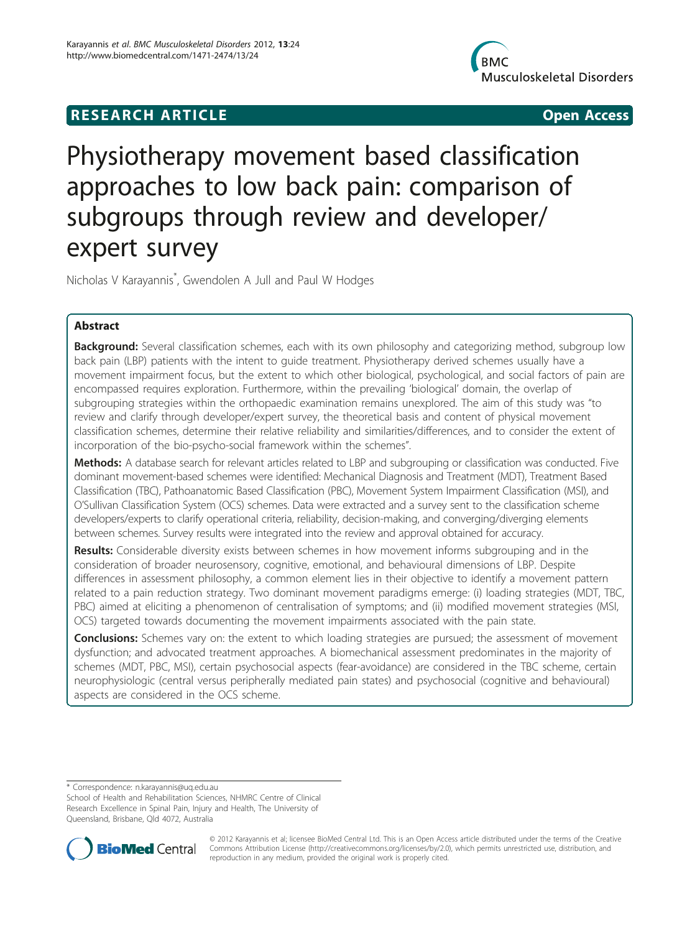## **RESEARCH ARTICLE Example 2018 12:00 Open Access**



# Physiotherapy movement based classification approaches to low back pain: comparison of subgroups through review and developer/ expert survey

Nicholas V Karayannis\* , Gwendolen A Jull and Paul W Hodges

## Abstract

**Background:** Several classification schemes, each with its own philosophy and categorizing method, subgroup low back pain (LBP) patients with the intent to guide treatment. Physiotherapy derived schemes usually have a movement impairment focus, but the extent to which other biological, psychological, and social factors of pain are encompassed requires exploration. Furthermore, within the prevailing 'biological' domain, the overlap of subgrouping strategies within the orthopaedic examination remains unexplored. The aim of this study was "to review and clarify through developer/expert survey, the theoretical basis and content of physical movement classification schemes, determine their relative reliability and similarities/differences, and to consider the extent of incorporation of the bio-psycho-social framework within the schemes".

Methods: A database search for relevant articles related to LBP and subgrouping or classification was conducted. Five dominant movement-based schemes were identified: Mechanical Diagnosis and Treatment (MDT), Treatment Based Classification (TBC), Pathoanatomic Based Classification (PBC), Movement System Impairment Classification (MSI), and O'Sullivan Classification System (OCS) schemes. Data were extracted and a survey sent to the classification scheme developers/experts to clarify operational criteria, reliability, decision-making, and converging/diverging elements between schemes. Survey results were integrated into the review and approval obtained for accuracy.

Results: Considerable diversity exists between schemes in how movement informs subgrouping and in the consideration of broader neurosensory, cognitive, emotional, and behavioural dimensions of LBP. Despite differences in assessment philosophy, a common element lies in their objective to identify a movement pattern related to a pain reduction strategy. Two dominant movement paradigms emerge: (i) loading strategies (MDT, TBC, PBC) aimed at eliciting a phenomenon of centralisation of symptoms; and (ii) modified movement strategies (MSI, OCS) targeted towards documenting the movement impairments associated with the pain state.

**Conclusions:** Schemes vary on: the extent to which loading strategies are pursued; the assessment of movement dysfunction; and advocated treatment approaches. A biomechanical assessment predominates in the majority of schemes (MDT, PBC, MSI), certain psychosocial aspects (fear-avoidance) are considered in the TBC scheme, certain neurophysiologic (central versus peripherally mediated pain states) and psychosocial (cognitive and behavioural) aspects are considered in the OCS scheme.

\* Correspondence: [n.karayannis@uq.edu.au](mailto:n.karayannis@uq.edu.au)

School of Health and Rehabilitation Sciences, NHMRC Centre of Clinical Research Excellence in Spinal Pain, Injury and Health, The University of Queensland, Brisbane, Qld 4072, Australia



© 2012 Karayannis et al; licensee BioMed Central Ltd. This is an Open Access article distributed under the terms of the Creative Commons Attribution License [\(http://creativecommons.org/licenses/by/2.0](http://creativecommons.org/licenses/by/2.0)), which permits unrestricted use, distribution, and reproduction in any medium, provided the original work is properly cited.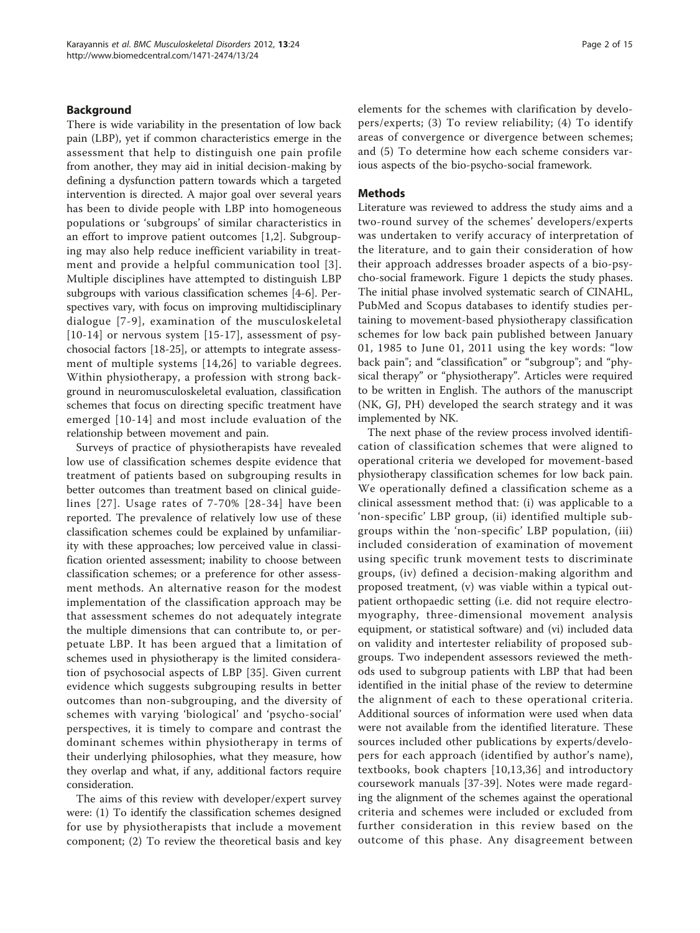## Background

There is wide variability in the presentation of low back pain (LBP), yet if common characteristics emerge in the assessment that help to distinguish one pain profile from another, they may aid in initial decision-making by defining a dysfunction pattern towards which a targeted intervention is directed. A major goal over several years has been to divide people with LBP into homogeneous populations or 'subgroups' of similar characteristics in an effort to improve patient outcomes [\[1](#page-12-0),[2\]](#page-12-0). Subgrouping may also help reduce inefficient variability in treatment and provide a helpful communication tool [[3\]](#page-12-0). Multiple disciplines have attempted to distinguish LBP subgroups with various classification schemes [\[4](#page-12-0)-[6\]](#page-12-0). Perspectives vary, with focus on improving multidisciplinary dialogue [[7-9](#page-12-0)], examination of the musculoskeletal [[10](#page-12-0)-[14](#page-12-0)] or nervous system [[15](#page-12-0)-[17](#page-12-0)], assessment of psychosocial factors [[18-25\]](#page-12-0), or attempts to integrate assessment of multiple systems [\[14,26\]](#page-12-0) to variable degrees. Within physiotherapy, a profession with strong background in neuromusculoskeletal evaluation, classification schemes that focus on directing specific treatment have emerged [\[10](#page-12-0)-[14\]](#page-12-0) and most include evaluation of the relationship between movement and pain.

Surveys of practice of physiotherapists have revealed low use of classification schemes despite evidence that treatment of patients based on subgrouping results in better outcomes than treatment based on clinical guidelines [[27](#page-12-0)]. Usage rates of 7-70% [[28-34](#page-12-0)] have been reported. The prevalence of relatively low use of these classification schemes could be explained by unfamiliarity with these approaches; low perceived value in classification oriented assessment; inability to choose between classification schemes; or a preference for other assessment methods. An alternative reason for the modest implementation of the classification approach may be that assessment schemes do not adequately integrate the multiple dimensions that can contribute to, or perpetuate LBP. It has been argued that a limitation of schemes used in physiotherapy is the limited consideration of psychosocial aspects of LBP [[35\]](#page-12-0). Given current evidence which suggests subgrouping results in better outcomes than non-subgrouping, and the diversity of schemes with varying 'biological' and 'psycho-social' perspectives, it is timely to compare and contrast the dominant schemes within physiotherapy in terms of their underlying philosophies, what they measure, how they overlap and what, if any, additional factors require consideration.

The aims of this review with developer/expert survey were: (1) To identify the classification schemes designed for use by physiotherapists that include a movement component; (2) To review the theoretical basis and key elements for the schemes with clarification by developers/experts; (3) To review reliability; (4) To identify areas of convergence or divergence between schemes; and (5) To determine how each scheme considers various aspects of the bio-psycho-social framework.

#### Methods

Literature was reviewed to address the study aims and a two-round survey of the schemes' developers/experts was undertaken to verify accuracy of interpretation of the literature, and to gain their consideration of how their approach addresses broader aspects of a bio-psycho-social framework. Figure [1](#page-2-0) depicts the study phases. The initial phase involved systematic search of CINAHL, PubMed and Scopus databases to identify studies pertaining to movement-based physiotherapy classification schemes for low back pain published between January 01, 1985 to June 01, 2011 using the key words: "low back pain"; and "classification" or "subgroup"; and "physical therapy" or "physiotherapy". Articles were required to be written in English. The authors of the manuscript (NK, GJ, PH) developed the search strategy and it was implemented by NK.

The next phase of the review process involved identification of classification schemes that were aligned to operational criteria we developed for movement-based physiotherapy classification schemes for low back pain. We operationally defined a classification scheme as a clinical assessment method that: (i) was applicable to a 'non-specific' LBP group, (ii) identified multiple subgroups within the 'non-specific' LBP population, (iii) included consideration of examination of movement using specific trunk movement tests to discriminate groups, (iv) defined a decision-making algorithm and proposed treatment, (v) was viable within a typical outpatient orthopaedic setting (i.e. did not require electromyography, three-dimensional movement analysis equipment, or statistical software) and (vi) included data on validity and intertester reliability of proposed subgroups. Two independent assessors reviewed the methods used to subgroup patients with LBP that had been identified in the initial phase of the review to determine the alignment of each to these operational criteria. Additional sources of information were used when data were not available from the identified literature. These sources included other publications by experts/developers for each approach (identified by author's name), textbooks, book chapters [[10,13,36\]](#page-12-0) and introductory coursework manuals [[37](#page-12-0)-[39\]](#page-12-0). Notes were made regarding the alignment of the schemes against the operational criteria and schemes were included or excluded from further consideration in this review based on the outcome of this phase. Any disagreement between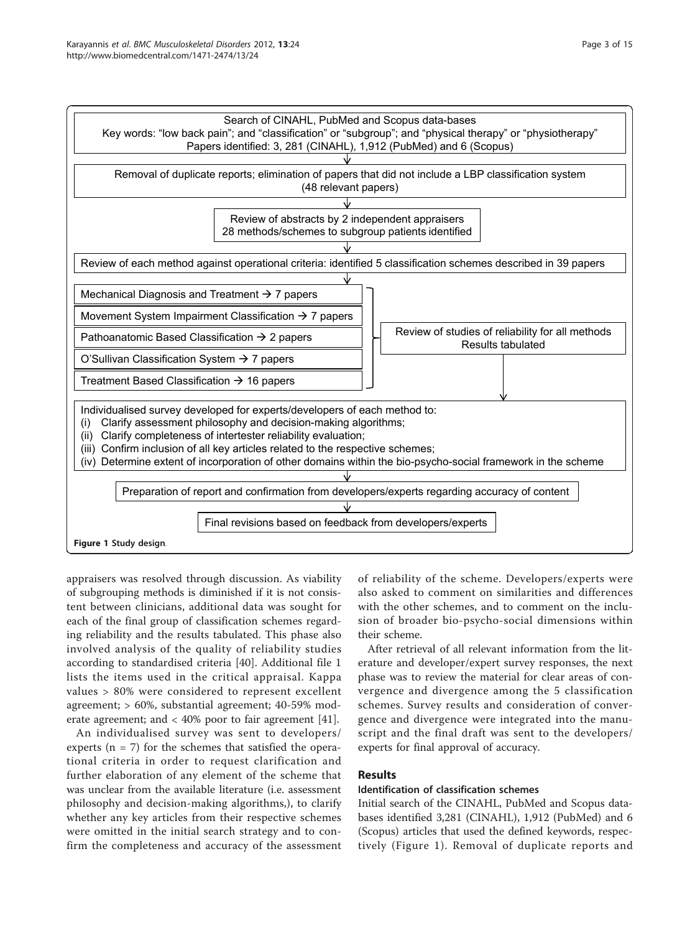<span id="page-2-0"></span>

appraisers was resolved through discussion. As viability of subgrouping methods is diminished if it is not consistent between clinicians, additional data was sought for each of the final group of classification schemes regarding reliability and the results tabulated. This phase also involved analysis of the quality of reliability studies according to standardised criteria [[40\]](#page-12-0). Additional file [1](#page-11-0) lists the items used in the critical appraisal. Kappa values > 80% were considered to represent excellent agreement; > 60%, substantial agreement; 40-59% moderate agreement; and < 40% poor to fair agreement [[41](#page-12-0)].

An individualised survey was sent to developers/ experts ( $n = 7$ ) for the schemes that satisfied the operational criteria in order to request clarification and further elaboration of any element of the scheme that was unclear from the available literature (i.e. assessment philosophy and decision-making algorithms,), to clarify whether any key articles from their respective schemes were omitted in the initial search strategy and to confirm the completeness and accuracy of the assessment

of reliability of the scheme. Developers/experts were also asked to comment on similarities and differences with the other schemes, and to comment on the inclusion of broader bio-psycho-social dimensions within their scheme.

After retrieval of all relevant information from the literature and developer/expert survey responses, the next phase was to review the material for clear areas of convergence and divergence among the 5 classification schemes. Survey results and consideration of convergence and divergence were integrated into the manuscript and the final draft was sent to the developers/ experts for final approval of accuracy.

#### Results

#### Identification of classification schemes

Initial search of the CINAHL, PubMed and Scopus databases identified 3,281 (CINAHL), 1,912 (PubMed) and 6 (Scopus) articles that used the defined keywords, respectively (Figure 1). Removal of duplicate reports and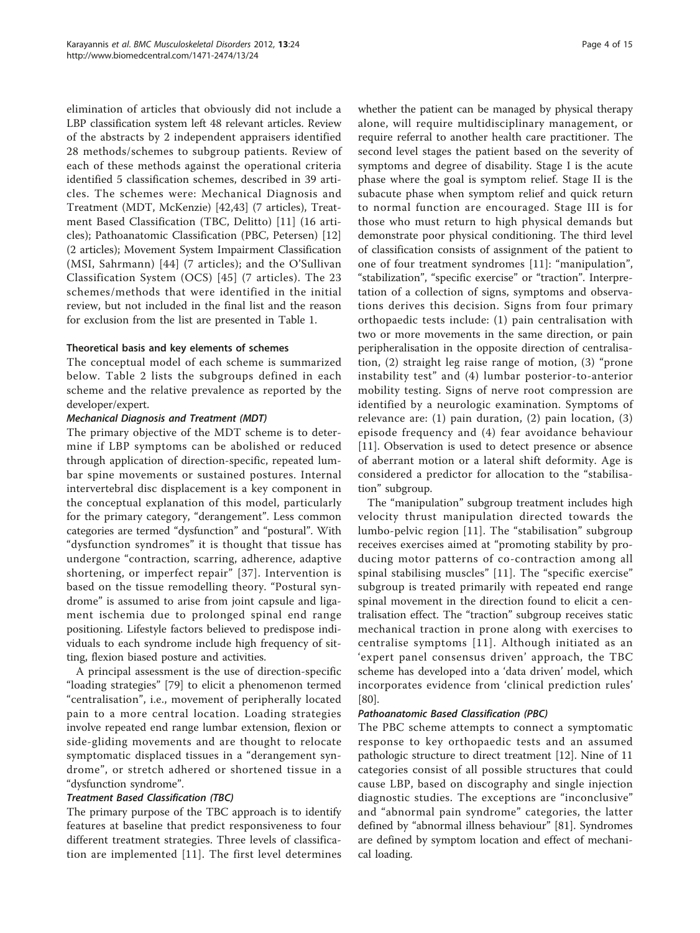elimination of articles that obviously did not include a LBP classification system left 48 relevant articles. Review of the abstracts by 2 independent appraisers identified 28 methods/schemes to subgroup patients. Review of each of these methods against the operational criteria identified 5 classification schemes, described in 39 articles. The schemes were: Mechanical Diagnosis and Treatment (MDT, McKenzie) [[42](#page-12-0),[43](#page-12-0)] (7 articles), Treatment Based Classification (TBC, Delitto) [\[11\]](#page-12-0) (16 articles); Pathoanatomic Classification (PBC, Petersen) [\[12](#page-12-0)] (2 articles); Movement System Impairment Classification (MSI, Sahrmann) [[44](#page-12-0)] (7 articles); and the O'Sullivan Classification System (OCS) [[45\]](#page-12-0) (7 articles). The 23 schemes/methods that were identified in the initial review, but not included in the final list and the reason for exclusion from the list are presented in Table [1.](#page-4-0)

## Theoretical basis and key elements of schemes

The conceptual model of each scheme is summarized below. Table [2](#page-5-0) lists the subgroups defined in each scheme and the relative prevalence as reported by the developer/expert.

## Mechanical Diagnosis and Treatment (MDT)

The primary objective of the MDT scheme is to determine if LBP symptoms can be abolished or reduced through application of direction-specific, repeated lumbar spine movements or sustained postures. Internal intervertebral disc displacement is a key component in the conceptual explanation of this model, particularly for the primary category, "derangement". Less common categories are termed "dysfunction" and "postural". With "dysfunction syndromes" it is thought that tissue has undergone "contraction, scarring, adherence, adaptive shortening, or imperfect repair" [[37](#page-12-0)]. Intervention is based on the tissue remodelling theory. "Postural syndrome" is assumed to arise from joint capsule and ligament ischemia due to prolonged spinal end range positioning. Lifestyle factors believed to predispose individuals to each syndrome include high frequency of sitting, flexion biased posture and activities.

A principal assessment is the use of direction-specific "loading strategies" [\[79](#page-13-0)] to elicit a phenomenon termed "centralisation", i.e., movement of peripherally located pain to a more central location. Loading strategies involve repeated end range lumbar extension, flexion or side-gliding movements and are thought to relocate symptomatic displaced tissues in a "derangement syndrome", or stretch adhered or shortened tissue in a "dysfunction syndrome".

## Treatment Based Classification (TBC)

The primary purpose of the TBC approach is to identify features at baseline that predict responsiveness to four different treatment strategies. Three levels of classification are implemented [[11](#page-12-0)]. The first level determines whether the patient can be managed by physical therapy alone, will require multidisciplinary management, or require referral to another health care practitioner. The second level stages the patient based on the severity of symptoms and degree of disability. Stage I is the acute phase where the goal is symptom relief. Stage II is the subacute phase when symptom relief and quick return to normal function are encouraged. Stage III is for those who must return to high physical demands but demonstrate poor physical conditioning. The third level of classification consists of assignment of the patient to one of four treatment syndromes [[11\]](#page-12-0): "manipulation", "stabilization", "specific exercise" or "traction". Interpretation of a collection of signs, symptoms and observations derives this decision. Signs from four primary orthopaedic tests include: (1) pain centralisation with two or more movements in the same direction, or pain peripheralisation in the opposite direction of centralisation, (2) straight leg raise range of motion, (3) "prone instability test" and (4) lumbar posterior-to-anterior mobility testing. Signs of nerve root compression are identified by a neurologic examination. Symptoms of relevance are: (1) pain duration, (2) pain location, (3) episode frequency and (4) fear avoidance behaviour [[11\]](#page-12-0). Observation is used to detect presence or absence of aberrant motion or a lateral shift deformity. Age is considered a predictor for allocation to the "stabilisation" subgroup.

The "manipulation" subgroup treatment includes high velocity thrust manipulation directed towards the lumbo-pelvic region [[11\]](#page-12-0). The "stabilisation" subgroup receives exercises aimed at "promoting stability by producing motor patterns of co-contraction among all spinal stabilising muscles" [[11](#page-12-0)]. The "specific exercise" subgroup is treated primarily with repeated end range spinal movement in the direction found to elicit a centralisation effect. The "traction" subgroup receives static mechanical traction in prone along with exercises to centralise symptoms [[11](#page-12-0)]. Although initiated as an 'expert panel consensus driven' approach, the TBC scheme has developed into a 'data driven' model, which incorporates evidence from 'clinical prediction rules' [[80\]](#page-13-0).

## Pathoanatomic Based Classification (PBC)

The PBC scheme attempts to connect a symptomatic response to key orthopaedic tests and an assumed pathologic structure to direct treatment [[12\]](#page-12-0). Nine of 11 categories consist of all possible structures that could cause LBP, based on discography and single injection diagnostic studies. The exceptions are "inconclusive" and "abnormal pain syndrome" categories, the latter defined by "abnormal illness behaviour" [\[81\]](#page-13-0). Syndromes are defined by symptom location and effect of mechanical loading.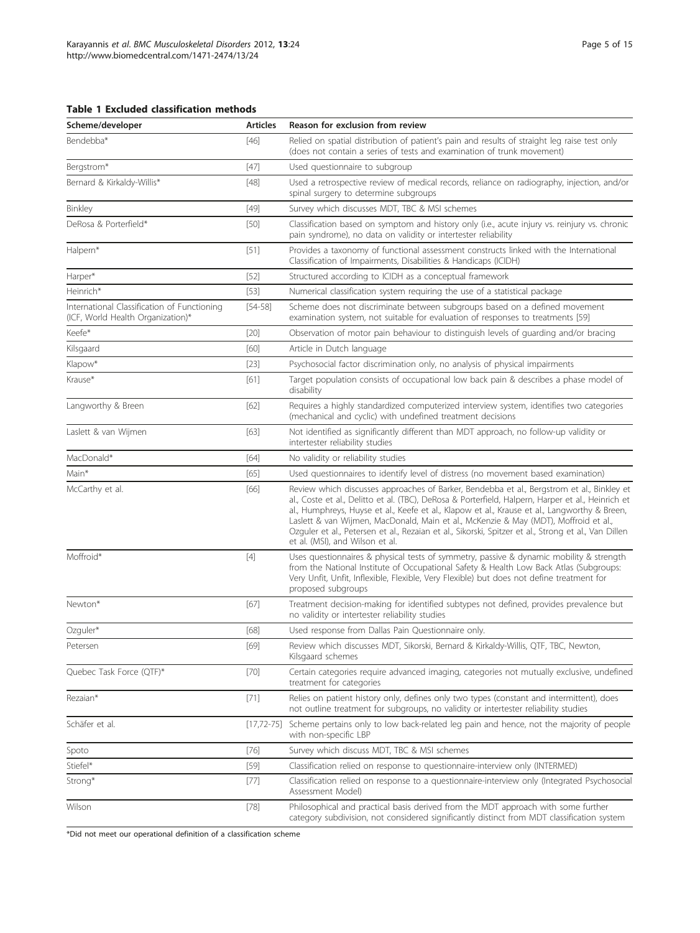## <span id="page-4-0"></span>Table 1 Excluded classification methods

| Scheme/developer                                                                 | <b>Articles</b> | Reason for exclusion from review                                                                                                                                                                                                                                                                                                                                                                                                                                                                                                     |  |
|----------------------------------------------------------------------------------|-----------------|--------------------------------------------------------------------------------------------------------------------------------------------------------------------------------------------------------------------------------------------------------------------------------------------------------------------------------------------------------------------------------------------------------------------------------------------------------------------------------------------------------------------------------------|--|
| Bendebba*                                                                        | $[46]$          | Relied on spatial distribution of patient's pain and results of straight leg raise test only<br>(does not contain a series of tests and examination of trunk movement)                                                                                                                                                                                                                                                                                                                                                               |  |
| Bergstrom*                                                                       | $[47]$          | Used questionnaire to subgroup                                                                                                                                                                                                                                                                                                                                                                                                                                                                                                       |  |
| Bernard & Kirkaldy-Willis*                                                       | $[48]$          | Used a retrospective review of medical records, reliance on radiography, injection, and/or<br>spinal surgery to determine subgroups                                                                                                                                                                                                                                                                                                                                                                                                  |  |
| Binkley                                                                          | $[49]$          | Survey which discusses MDT, TBC & MSI schemes                                                                                                                                                                                                                                                                                                                                                                                                                                                                                        |  |
| DeRosa & Porterfield*                                                            | $[50]$          | Classification based on symptom and history only (i.e., acute injury vs. reinjury vs. chronic<br>pain syndrome), no data on validity or intertester reliability                                                                                                                                                                                                                                                                                                                                                                      |  |
| Halpern*                                                                         | $[51]$          | Provides a taxonomy of functional assessment constructs linked with the International<br>Classification of Impairments, Disabilities & Handicaps (ICIDH)                                                                                                                                                                                                                                                                                                                                                                             |  |
| Harper*                                                                          | $[52]$          | Structured according to ICIDH as a conceptual framework                                                                                                                                                                                                                                                                                                                                                                                                                                                                              |  |
| Heinrich*                                                                        | $[53]$          | Numerical classification system requiring the use of a statistical package                                                                                                                                                                                                                                                                                                                                                                                                                                                           |  |
| International Classification of Functioning<br>(ICF, World Health Organization)* | $[54-58]$       | Scheme does not discriminate between subgroups based on a defined movement<br>examination system, not suitable for evaluation of responses to treatments [59]                                                                                                                                                                                                                                                                                                                                                                        |  |
| Keefe*                                                                           | $[20]$          | Observation of motor pain behaviour to distinguish levels of guarding and/or bracing                                                                                                                                                                                                                                                                                                                                                                                                                                                 |  |
| Kilsgaard                                                                        | [60]            | Article in Dutch language                                                                                                                                                                                                                                                                                                                                                                                                                                                                                                            |  |
| Klapow*                                                                          | $[23]$          | Psychosocial factor discrimination only, no analysis of physical impairments                                                                                                                                                                                                                                                                                                                                                                                                                                                         |  |
| Krause*                                                                          | $[61]$          | Target population consists of occupational low back pain & describes a phase model of<br>disability                                                                                                                                                                                                                                                                                                                                                                                                                                  |  |
| Langworthy & Breen                                                               | $[62]$          | Requires a highly standardized computerized interview system, identifies two categories<br>(mechanical and cyclic) with undefined treatment decisions                                                                                                                                                                                                                                                                                                                                                                                |  |
| Laslett & van Wijmen                                                             | $[63]$          | Not identified as significantly different than MDT approach, no follow-up validity or<br>intertester reliability studies                                                                                                                                                                                                                                                                                                                                                                                                             |  |
| MacDonald*                                                                       | $[64]$          | No validity or reliability studies                                                                                                                                                                                                                                                                                                                                                                                                                                                                                                   |  |
| Main*                                                                            | $[65]$          | Used questionnaires to identify level of distress (no movement based examination)                                                                                                                                                                                                                                                                                                                                                                                                                                                    |  |
| McCarthy et al.                                                                  | [66]            | Review which discusses approaches of Barker, Bendebba et al., Bergstrom et al., Binkley et<br>al., Coste et al., Delitto et al. (TBC), DeRosa & Porterfield, Halpern, Harper et al., Heinrich et<br>al., Humphreys, Huyse et al., Keefe et al., Klapow et al., Krause et al., Langworthy & Breen,<br>Laslett & van Wijmen, MacDonald, Main et al., McKenzie & May (MDT), Moffroid et al.,<br>Ozguler et al., Petersen et al., Rezaian et al., Sikorski, Spitzer et al., Strong et al., Van Dillen<br>et al. (MSI), and Wilson et al. |  |
| Moffroid*                                                                        | $[4]$           | Uses questionnaires & physical tests of symmetry, passive & dynamic mobility & strength<br>from the National Institute of Occupational Safety & Health Low Back Atlas (Subgroups:<br>Very Unfit, Unfit, Inflexible, Flexible, Very Flexible) but does not define treatment for<br>proposed subgroups                                                                                                                                                                                                                                 |  |
| Newton*                                                                          | [67]            | Treatment decision-making for identified subtypes not defined, provides prevalence but<br>no validity or intertester reliability studies                                                                                                                                                                                                                                                                                                                                                                                             |  |
| Ozguler*                                                                         | $[68]$          | Used response from Dallas Pain Questionnaire only.                                                                                                                                                                                                                                                                                                                                                                                                                                                                                   |  |
| Petersen                                                                         | [69]            | Review which discusses MDT, Sikorski, Bernard & Kirkaldy-Willis, QTF, TBC, Newton,<br>Kilsgaard schemes                                                                                                                                                                                                                                                                                                                                                                                                                              |  |
| Quebec Task Force (QTF)*                                                         | $[70]$          | Certain categories require advanced imaging, categories not mutually exclusive, undefined<br>treatment for categories                                                                                                                                                                                                                                                                                                                                                                                                                |  |
| Rezaian*                                                                         | $[71]$          | Relies on patient history only, defines only two types (constant and intermittent), does<br>not outline treatment for subgroups, no validity or intertester reliability studies                                                                                                                                                                                                                                                                                                                                                      |  |
| Schäfer et al.                                                                   | $[17, 72 - 75]$ | Scheme pertains only to low back-related leg pain and hence, not the majority of people<br>with non-specific LBP                                                                                                                                                                                                                                                                                                                                                                                                                     |  |
| Spoto                                                                            | $[76]$          | Survey which discuss MDT, TBC & MSI schemes                                                                                                                                                                                                                                                                                                                                                                                                                                                                                          |  |
| Stiefel*                                                                         | $[59]$          | Classification relied on response to questionnaire-interview only (INTERMED)                                                                                                                                                                                                                                                                                                                                                                                                                                                         |  |
| Strong*                                                                          | $[77]$          | Classification relied on response to a questionnaire-interview only (Integrated Psychosocial<br>Assessment Model)                                                                                                                                                                                                                                                                                                                                                                                                                    |  |
| Wilson                                                                           | $[78]$          | Philosophical and practical basis derived from the MDT approach with some further<br>category subdivision, not considered significantly distinct from MDT classification system                                                                                                                                                                                                                                                                                                                                                      |  |

\*Did not meet our operational definition of a classification scheme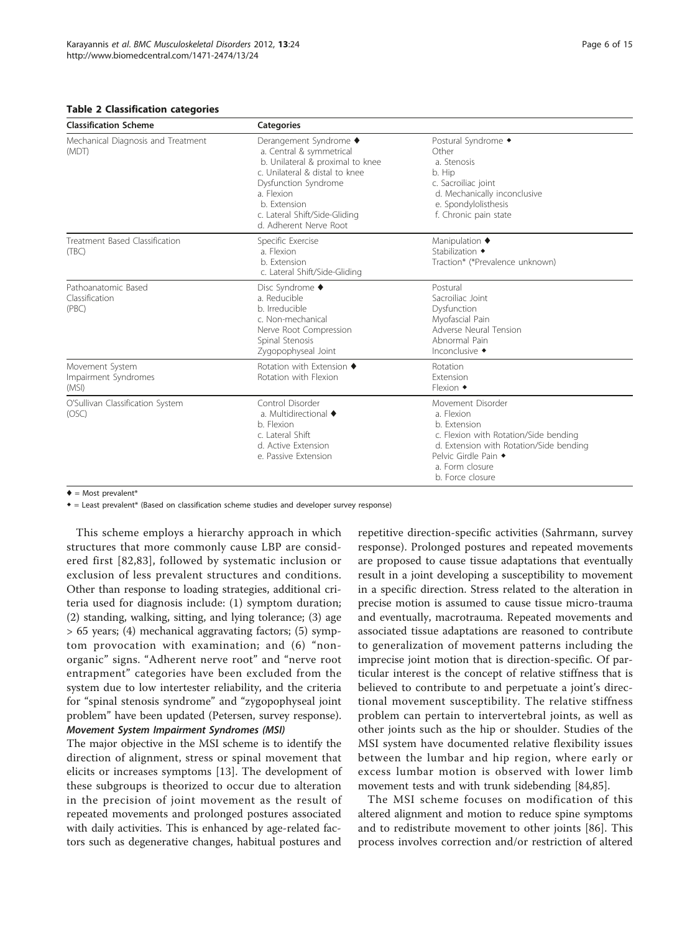#### <span id="page-5-0"></span>Table 2 Classification categories

| <b>Classification Scheme</b>                     | Categories                                                                                                                                                                                                                                |                                                                                                                                                                                                    |
|--------------------------------------------------|-------------------------------------------------------------------------------------------------------------------------------------------------------------------------------------------------------------------------------------------|----------------------------------------------------------------------------------------------------------------------------------------------------------------------------------------------------|
| Mechanical Diagnosis and Treatment<br>(MDT)      | Derangement Syndrome ◆<br>a. Central & symmetrical<br>b. Unilateral & proximal to knee<br>c. Unilateral & distal to knee<br>Dysfunction Syndrome<br>a. Flexion<br>b. Extension<br>c. Lateral Shift/Side-Gliding<br>d. Adherent Nerve Root | Postural Syndrome ◆<br>Other<br>a. Stenosis<br>b. Hip<br>c. Sacroiliac joint<br>d. Mechanically inconclusive<br>e. Spondylolisthesis<br>f. Chronic pain state                                      |
| Treatment Based Classification<br>(TBC)          | Specific Exercise<br>a. Flexion<br>b. Extension<br>c. Lateral Shift/Side-Gliding                                                                                                                                                          | Manipulation ♦<br>Stabilization ◆<br>Traction* (*Prevalence unknown)                                                                                                                               |
| Pathoanatomic Based<br>Classification<br>(PBC)   | Disc Syndrome ◆<br>a. Reducible<br>b. Irreducible<br>c. Non-mechanical<br>Nerve Root Compression<br>Spinal Stenosis<br>Zygopophyseal Joint                                                                                                | Postural<br>Sacroiliac Joint<br>Dysfunction<br>Myofascial Pain<br>Adverse Neural Tension<br>Abnormal Pain<br>Inconclusive •                                                                        |
| Movement System<br>Impairment Syndromes<br>(MSI) | Rotation with Extension ♦<br>Rotation with Flexion                                                                                                                                                                                        | Rotation<br><b>Extension</b><br>Flexion $\bullet$                                                                                                                                                  |
| O'Sullivan Classification System<br>(OSC)        | Control Disorder<br>a. Multidirectional ◆<br>b. Flexion<br>c. Lateral Shift<br>d. Active Extension<br>e. Passive Extension                                                                                                                | Movement Disorder<br>a. Flexion<br>b. Extension<br>c. Flexion with Rotation/Side bending<br>d. Extension with Rotation/Side bending<br>Pelvic Girdle Pain ◆<br>a. Form closure<br>b. Force closure |

 $\triangleq$  = Most prevalent<sup>\*</sup>

◆ = Least prevalent\* (Based on classification scheme studies and developer survey response)

This scheme employs a hierarchy approach in which structures that more commonly cause LBP are considered first [\[82,83\]](#page-13-0), followed by systematic inclusion or exclusion of less prevalent structures and conditions. Other than response to loading strategies, additional criteria used for diagnosis include: (1) symptom duration; (2) standing, walking, sitting, and lying tolerance; (3) age > 65 years; (4) mechanical aggravating factors; (5) symptom provocation with examination; and (6) "nonorganic" signs. "Adherent nerve root" and "nerve root entrapment" categories have been excluded from the system due to low intertester reliability, and the criteria for "spinal stenosis syndrome" and "zygopophyseal joint problem" have been updated (Petersen, survey response). Movement System Impairment Syndromes (MSI)

The major objective in the MSI scheme is to identify the direction of alignment, stress or spinal movement that elicits or increases symptoms [[13\]](#page-12-0). The development of these subgroups is theorized to occur due to alteration in the precision of joint movement as the result of repeated movements and prolonged postures associated with daily activities. This is enhanced by age-related factors such as degenerative changes, habitual postures and

repetitive direction-specific activities (Sahrmann, survey response). Prolonged postures and repeated movements are proposed to cause tissue adaptations that eventually result in a joint developing a susceptibility to movement in a specific direction. Stress related to the alteration in precise motion is assumed to cause tissue micro-trauma and eventually, macrotrauma. Repeated movements and associated tissue adaptations are reasoned to contribute to generalization of movement patterns including the imprecise joint motion that is direction-specific. Of particular interest is the concept of relative stiffness that is believed to contribute to and perpetuate a joint's directional movement susceptibility. The relative stiffness problem can pertain to intervertebral joints, as well as other joints such as the hip or shoulder. Studies of the MSI system have documented relative flexibility issues between the lumbar and hip region, where early or excess lumbar motion is observed with lower limb movement tests and with trunk sidebending [\[84,85](#page-13-0)].

The MSI scheme focuses on modification of this altered alignment and motion to reduce spine symptoms and to redistribute movement to other joints [\[86](#page-13-0)]. This process involves correction and/or restriction of altered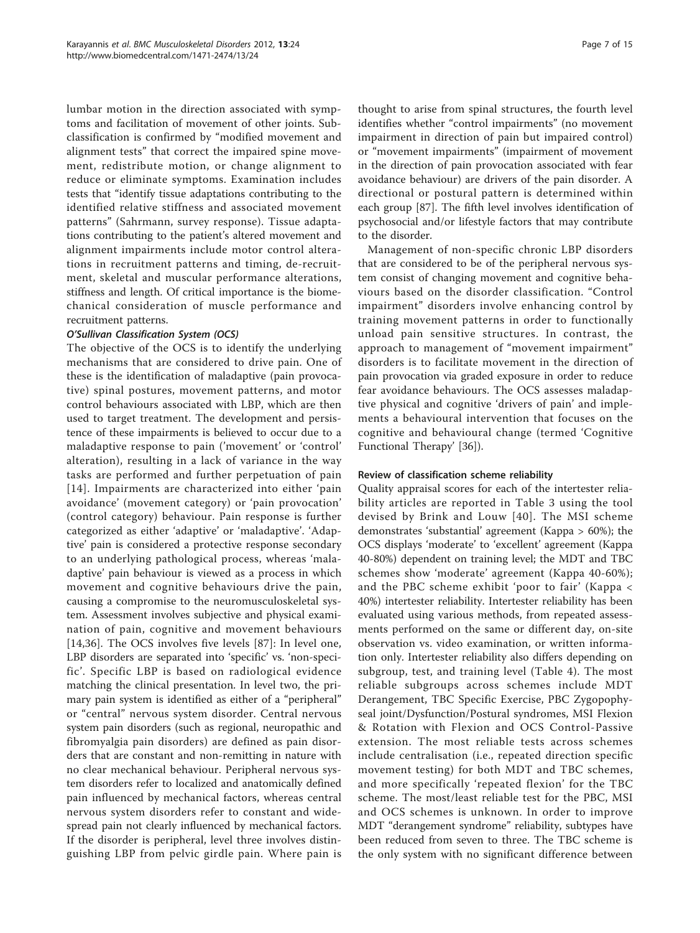lumbar motion in the direction associated with symptoms and facilitation of movement of other joints. Subclassification is confirmed by "modified movement and alignment tests" that correct the impaired spine movement, redistribute motion, or change alignment to reduce or eliminate symptoms. Examination includes tests that "identify tissue adaptations contributing to the identified relative stiffness and associated movement patterns" (Sahrmann, survey response). Tissue adaptations contributing to the patient's altered movement and alignment impairments include motor control alterations in recruitment patterns and timing, de-recruitment, skeletal and muscular performance alterations, stiffness and length. Of critical importance is the biomechanical consideration of muscle performance and recruitment patterns.

## O'Sullivan Classification System (OCS)

The objective of the OCS is to identify the underlying mechanisms that are considered to drive pain. One of these is the identification of maladaptive (pain provocative) spinal postures, movement patterns, and motor control behaviours associated with LBP, which are then used to target treatment. The development and persistence of these impairments is believed to occur due to a maladaptive response to pain ('movement' or 'control' alteration), resulting in a lack of variance in the way tasks are performed and further perpetuation of pain [[14\]](#page-12-0). Impairments are characterized into either 'pain avoidance' (movement category) or 'pain provocation' (control category) behaviour. Pain response is further categorized as either 'adaptive' or 'maladaptive'. 'Adaptive' pain is considered a protective response secondary to an underlying pathological process, whereas 'maladaptive' pain behaviour is viewed as a process in which movement and cognitive behaviours drive the pain, causing a compromise to the neuromusculoskeletal system. Assessment involves subjective and physical examination of pain, cognitive and movement behaviours [[14,36](#page-12-0)]. The OCS involves five levels [\[87](#page-13-0)]: In level one, LBP disorders are separated into 'specific' vs. 'non-specific'. Specific LBP is based on radiological evidence matching the clinical presentation. In level two, the primary pain system is identified as either of a "peripheral" or "central" nervous system disorder. Central nervous system pain disorders (such as regional, neuropathic and fibromyalgia pain disorders) are defined as pain disorders that are constant and non-remitting in nature with no clear mechanical behaviour. Peripheral nervous system disorders refer to localized and anatomically defined pain influenced by mechanical factors, whereas central nervous system disorders refer to constant and widespread pain not clearly influenced by mechanical factors. If the disorder is peripheral, level three involves distinguishing LBP from pelvic girdle pain. Where pain is

thought to arise from spinal structures, the fourth level identifies whether "control impairments" (no movement impairment in direction of pain but impaired control) or "movement impairments" (impairment of movement in the direction of pain provocation associated with fear avoidance behaviour) are drivers of the pain disorder. A directional or postural pattern is determined within each group [\[87\]](#page-13-0). The fifth level involves identification of psychosocial and/or lifestyle factors that may contribute to the disorder.

Management of non-specific chronic LBP disorders that are considered to be of the peripheral nervous system consist of changing movement and cognitive behaviours based on the disorder classification. "Control impairment" disorders involve enhancing control by training movement patterns in order to functionally unload pain sensitive structures. In contrast, the approach to management of "movement impairment" disorders is to facilitate movement in the direction of pain provocation via graded exposure in order to reduce fear avoidance behaviours. The OCS assesses maladaptive physical and cognitive 'drivers of pain' and implements a behavioural intervention that focuses on the cognitive and behavioural change (termed 'Cognitive Functional Therapy' [\[36](#page-12-0)]).

## Review of classification scheme reliability

Quality appraisal scores for each of the intertester reliability articles are reported in Table [3](#page-7-0) using the tool devised by Brink and Louw [\[40](#page-12-0)]. The MSI scheme demonstrates 'substantial' agreement (Kappa > 60%); the OCS displays 'moderate' to 'excellent' agreement (Kappa 40-80%) dependent on training level; the MDT and TBC schemes show 'moderate' agreement (Kappa 40-60%); and the PBC scheme exhibit 'poor to fair' (Kappa < 40%) intertester reliability. Intertester reliability has been evaluated using various methods, from repeated assessments performed on the same or different day, on-site observation vs. video examination, or written information only. Intertester reliability also differs depending on subgroup, test, and training level (Table [4\)](#page-8-0). The most reliable subgroups across schemes include MDT Derangement, TBC Specific Exercise, PBC Zygopophyseal joint/Dysfunction/Postural syndromes, MSI Flexion & Rotation with Flexion and OCS Control-Passive extension. The most reliable tests across schemes include centralisation (i.e., repeated direction specific movement testing) for both MDT and TBC schemes, and more specifically 'repeated flexion' for the TBC scheme. The most/least reliable test for the PBC, MSI and OCS schemes is unknown. In order to improve MDT "derangement syndrome" reliability, subtypes have been reduced from seven to three. The TBC scheme is the only system with no significant difference between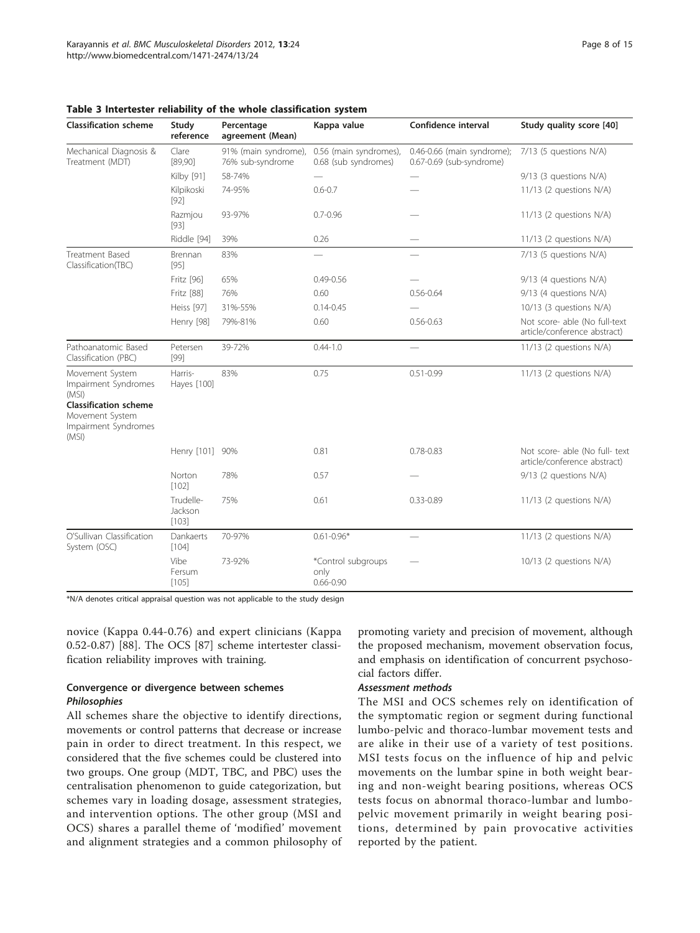| <b>Classification scheme</b>                                                                                                         | Study<br>reference            | Percentage<br>agreement (Mean)           | Kappa value                                    | Confidence interval                                    | Study quality score [40]                                       |
|--------------------------------------------------------------------------------------------------------------------------------------|-------------------------------|------------------------------------------|------------------------------------------------|--------------------------------------------------------|----------------------------------------------------------------|
| Mechanical Diagnosis &<br>Treatment (MDT)                                                                                            | Clare<br>[89,90]              | 91% (main syndrome),<br>76% sub-syndrome | 0.56 (main syndromes),<br>0.68 (sub syndromes) | 0.46-0.66 (main syndrome);<br>0.67-0.69 (sub-syndrome) | 7/13 (5 questions N/A)                                         |
|                                                                                                                                      | Kilby [91]                    | 58-74%                                   |                                                |                                                        | 9/13 (3 questions N/A)                                         |
|                                                                                                                                      | Kilpikoski<br>$[92]$          | 74-95%                                   | $0.6 - 0.7$                                    |                                                        | 11/13 (2 questions N/A)                                        |
|                                                                                                                                      | Razmjou<br>$[93]$             | 93-97%                                   | $0.7 - 0.96$                                   |                                                        | 11/13 (2 questions N/A)                                        |
|                                                                                                                                      | Riddle [94]                   | 39%                                      | 0.26                                           |                                                        | 11/13 (2 questions N/A)                                        |
| Treatment Based<br>Classification(TBC)                                                                                               | Brennan<br>$[95]$             | 83%                                      | $\overline{\phantom{0}}$                       | ÷.                                                     | 7/13 (5 questions N/A)                                         |
|                                                                                                                                      | Fritz [96]                    | 65%                                      | 0.49-0.56                                      |                                                        | 9/13 (4 questions N/A)                                         |
|                                                                                                                                      | Fritz [88]                    | 76%                                      | 0.60                                           | $0.56 - 0.64$                                          | 9/13 (4 questions N/A)                                         |
|                                                                                                                                      | Heiss [97]                    | 31%-55%                                  | $0.14 - 0.45$                                  |                                                        | 10/13 (3 questions N/A)                                        |
|                                                                                                                                      | Henry [98]                    | 79%-81%                                  | 0.60                                           | $0.56 - 0.63$                                          | Not score- able (No full-text<br>article/conference abstract)  |
| Pathoanatomic Based<br>Classification (PBC)                                                                                          | Petersen<br>$[99]$            | 39-72%                                   | $0.44 - 1.0$                                   |                                                        | 11/13 (2 questions N/A)                                        |
| Movement System<br>Impairment Syndromes<br>(MSI)<br><b>Classification scheme</b><br>Movement System<br>Impairment Syndromes<br>(MSI) | Harris-<br>Hayes [100]        | 83%                                      | 0.75                                           | $0.51 - 0.99$                                          | 11/13 (2 questions N/A)                                        |
|                                                                                                                                      | Henry [101] 90%               |                                          | 0.81                                           | $0.78 - 0.83$                                          | Not score- able (No full- text<br>article/conference abstract) |
|                                                                                                                                      | Norton<br>[102]               | 78%                                      | 0.57                                           |                                                        | 9/13 (2 questions N/A)                                         |
|                                                                                                                                      | Trudelle-<br>Jackson<br>[103] | 75%                                      | 0.61                                           | $0.33 - 0.89$                                          | 11/13 (2 questions N/A)                                        |
| O'Sullivan Classification<br>System (OSC)                                                                                            | Dankaerts<br>[104]            | 70-97%                                   | $0.61 - 0.96*$                                 |                                                        | 11/13 (2 questions N/A)                                        |
|                                                                                                                                      | Vibe<br>Fersum<br>[105]       | 73-92%                                   | *Control subgroups<br>only<br>$0.66 - 0.90$    |                                                        | 10/13 (2 questions N/A)                                        |

#### <span id="page-7-0"></span>Table 3 Intertester reliability of the whole classification system

\*N/A denotes critical appraisal question was not applicable to the study design

novice (Kappa 0.44-0.76) and expert clinicians (Kappa 0.52-0.87) [\[88](#page-13-0)]. The OCS [[87\]](#page-13-0) scheme intertester classification reliability improves with training.

## Convergence or divergence between schemes Philosophies

All schemes share the objective to identify directions, movements or control patterns that decrease or increase pain in order to direct treatment. In this respect, we considered that the five schemes could be clustered into two groups. One group (MDT, TBC, and PBC) uses the centralisation phenomenon to guide categorization, but schemes vary in loading dosage, assessment strategies, and intervention options. The other group (MSI and OCS) shares a parallel theme of 'modified' movement and alignment strategies and a common philosophy of

promoting variety and precision of movement, although the proposed mechanism, movement observation focus, and emphasis on identification of concurrent psychosocial factors differ.

#### Assessment methods

The MSI and OCS schemes rely on identification of the symptomatic region or segment during functional lumbo-pelvic and thoraco-lumbar movement tests and are alike in their use of a variety of test positions. MSI tests focus on the influence of hip and pelvic movements on the lumbar spine in both weight bearing and non-weight bearing positions, whereas OCS tests focus on abnormal thoraco-lumbar and lumbopelvic movement primarily in weight bearing positions, determined by pain provocative activities reported by the patient.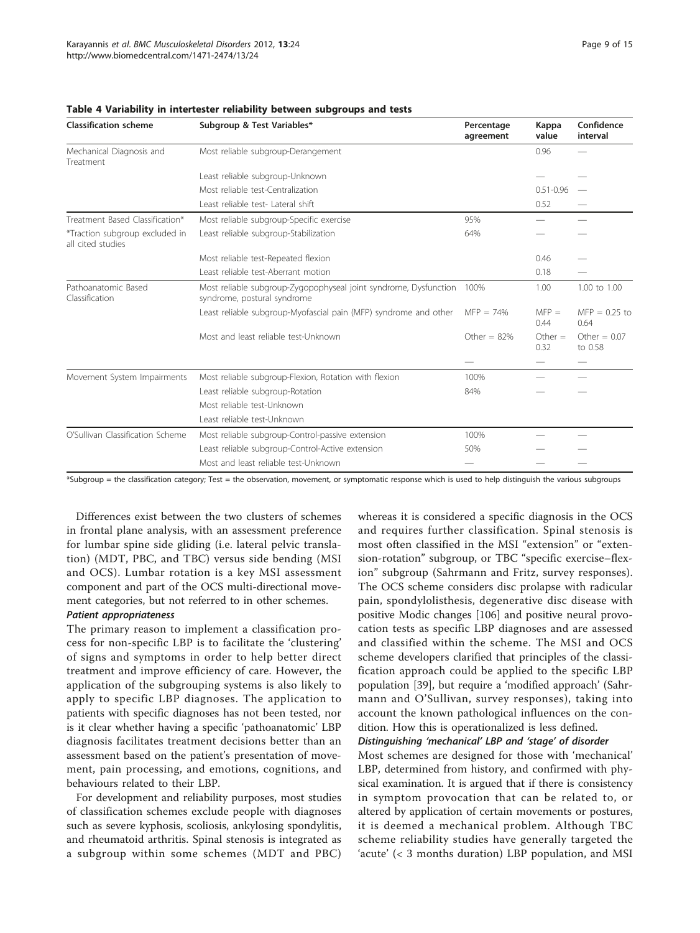| <b>Classification scheme</b>                        | Subgroup & Test Variables*                                                                      | Percentage<br>agreement | Kappa<br>value    | Confidence<br>interval    |
|-----------------------------------------------------|-------------------------------------------------------------------------------------------------|-------------------------|-------------------|---------------------------|
| Mechanical Diagnosis and<br>Treatment               | Most reliable subgroup-Derangement                                                              |                         | 0.96              |                           |
|                                                     | Least reliable subgroup-Unknown                                                                 |                         |                   |                           |
|                                                     | Most reliable test-Centralization                                                               |                         | $0.51 - 0.96$     |                           |
|                                                     | Least reliable test- Lateral shift                                                              |                         | 0.52              |                           |
| Treatment Based Classification*                     | Most reliable subgroup-Specific exercise                                                        | 95%                     |                   |                           |
| *Traction subgroup excluded in<br>all cited studies | Least reliable subgroup-Stabilization                                                           | 64%                     |                   |                           |
|                                                     | Most reliable test-Repeated flexion                                                             |                         | 0.46              |                           |
|                                                     | Least reliable test-Aberrant motion                                                             |                         | 0.18              |                           |
| Pathoanatomic Based<br>Classification               | Most reliable subgroup-Zygopophyseal joint syndrome, Dysfunction<br>syndrome, postural syndrome | 100%                    | 1.00              | 1.00 to 1.00              |
|                                                     | Least reliable subgroup-Myofascial pain (MFP) syndrome and other                                | $MFP = 74%$             | $MFP =$<br>0.44   | $MFP = 0.25$ to<br>0.64   |
|                                                     | Most and least reliable test-Unknown                                                            | Other = $82\%$          | Other $=$<br>0.32 | Other = $0.07$<br>to 0.58 |
|                                                     |                                                                                                 |                         |                   |                           |
| Movement System Impairments                         | Most reliable subgroup-Flexion, Rotation with flexion                                           | 100%                    |                   |                           |
|                                                     | Least reliable subgroup-Rotation                                                                | 84%                     |                   |                           |
|                                                     | Most reliable test-Unknown                                                                      |                         |                   |                           |
|                                                     | Least reliable test-Unknown                                                                     |                         |                   |                           |
| O'Sullivan Classification Scheme                    | Most reliable subgroup-Control-passive extension                                                | 100%                    |                   |                           |
|                                                     | Least reliable subgroup-Control-Active extension                                                | 50%                     |                   |                           |
|                                                     | Most and least reliable test-Unknown                                                            |                         |                   |                           |

<span id="page-8-0"></span>Table 4 Variability in intertester reliability between subgroups and tests

\*Subgroup = the classification category; Test = the observation, movement, or symptomatic response which is used to help distinguish the various subgroups

Differences exist between the two clusters of schemes in frontal plane analysis, with an assessment preference for lumbar spine side gliding (i.e. lateral pelvic translation) (MDT, PBC, and TBC) versus side bending (MSI and OCS). Lumbar rotation is a key MSI assessment component and part of the OCS multi-directional movement categories, but not referred to in other schemes.

#### Patient appropriateness

The primary reason to implement a classification process for non-specific LBP is to facilitate the 'clustering' of signs and symptoms in order to help better direct treatment and improve efficiency of care. However, the application of the subgrouping systems is also likely to apply to specific LBP diagnoses. The application to patients with specific diagnoses has not been tested, nor is it clear whether having a specific 'pathoanatomic' LBP diagnosis facilitates treatment decisions better than an assessment based on the patient's presentation of movement, pain processing, and emotions, cognitions, and behaviours related to their LBP.

For development and reliability purposes, most studies of classification schemes exclude people with diagnoses such as severe kyphosis, scoliosis, ankylosing spondylitis, and rheumatoid arthritis. Spinal stenosis is integrated as a subgroup within some schemes (MDT and PBC) whereas it is considered a specific diagnosis in the OCS and requires further classification. Spinal stenosis is most often classified in the MSI "extension" or "extension-rotation" subgroup, or TBC "specific exercise–flexion" subgroup (Sahrmann and Fritz, survey responses). The OCS scheme considers disc prolapse with radicular pain, spondylolisthesis, degenerative disc disease with positive Modic changes [[106\]](#page-14-0) and positive neural provocation tests as specific LBP diagnoses and are assessed and classified within the scheme. The MSI and OCS scheme developers clarified that principles of the classification approach could be applied to the specific LBP population [[39\]](#page-12-0), but require a 'modified approach' (Sahrmann and O'Sullivan, survey responses), taking into account the known pathological influences on the condition. How this is operationalized is less defined.

Distinguishing 'mechanical' LBP and 'stage' of disorder

Most schemes are designed for those with 'mechanical' LBP, determined from history, and confirmed with physical examination. It is argued that if there is consistency in symptom provocation that can be related to, or altered by application of certain movements or postures, it is deemed a mechanical problem. Although TBC scheme reliability studies have generally targeted the 'acute' (< 3 months duration) LBP population, and MSI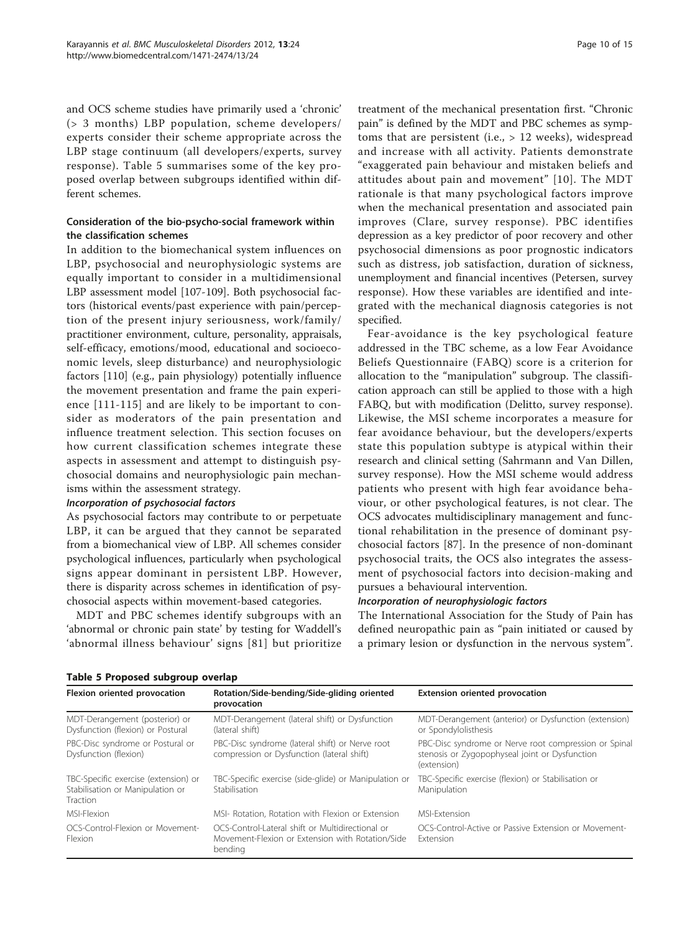and OCS scheme studies have primarily used a 'chronic' (> 3 months) LBP population, scheme developers/ experts consider their scheme appropriate across the LBP stage continuum (all developers/experts, survey response). Table 5 summarises some of the key proposed overlap between subgroups identified within different schemes.

## Consideration of the bio-psycho-social framework within the classification schemes

In addition to the biomechanical system influences on LBP, psychosocial and neurophysiologic systems are equally important to consider in a multidimensional LBP assessment model [[107-109\]](#page-14-0). Both psychosocial factors (historical events/past experience with pain/perception of the present injury seriousness, work/family/ practitioner environment, culture, personality, appraisals, self-efficacy, emotions/mood, educational and socioeconomic levels, sleep disturbance) and neurophysiologic factors [[110\]](#page-14-0) (e.g., pain physiology) potentially influence the movement presentation and frame the pain experience [[111-115\]](#page-14-0) and are likely to be important to consider as moderators of the pain presentation and influence treatment selection. This section focuses on how current classification schemes integrate these aspects in assessment and attempt to distinguish psychosocial domains and neurophysiologic pain mechanisms within the assessment strategy.

## Incorporation of psychosocial factors

As psychosocial factors may contribute to or perpetuate LBP, it can be argued that they cannot be separated from a biomechanical view of LBP. All schemes consider psychological influences, particularly when psychological signs appear dominant in persistent LBP. However, there is disparity across schemes in identification of psychosocial aspects within movement-based categories.

MDT and PBC schemes identify subgroups with an 'abnormal or chronic pain state' by testing for Waddell's 'abnormal illness behaviour' signs [[81\]](#page-13-0) but prioritize treatment of the mechanical presentation first. "Chronic pain" is defined by the MDT and PBC schemes as symptoms that are persistent (i.e., > 12 weeks), widespread and increase with all activity. Patients demonstrate "exaggerated pain behaviour and mistaken beliefs and attitudes about pain and movement" [[10\]](#page-12-0). The MDT rationale is that many psychological factors improve when the mechanical presentation and associated pain improves (Clare, survey response). PBC identifies depression as a key predictor of poor recovery and other psychosocial dimensions as poor prognostic indicators such as distress, job satisfaction, duration of sickness, unemployment and financial incentives (Petersen, survey response). How these variables are identified and integrated with the mechanical diagnosis categories is not specified.

Fear-avoidance is the key psychological feature addressed in the TBC scheme, as a low Fear Avoidance Beliefs Questionnaire (FABQ) score is a criterion for allocation to the "manipulation" subgroup. The classification approach can still be applied to those with a high FABQ, but with modification (Delitto, survey response). Likewise, the MSI scheme incorporates a measure for fear avoidance behaviour, but the developers/experts state this population subtype is atypical within their research and clinical setting (Sahrmann and Van Dillen, survey response). How the MSI scheme would address patients who present with high fear avoidance behaviour, or other psychological features, is not clear. The OCS advocates multidisciplinary management and functional rehabilitation in the presence of dominant psychosocial factors [[87\]](#page-13-0). In the presence of non-dominant psychosocial traits, the OCS also integrates the assessment of psychosocial factors into decision-making and pursues a behavioural intervention.

## Incorporation of neurophysiologic factors

The International Association for the Study of Pain has defined neuropathic pain as "pain initiated or caused by a primary lesion or dysfunction in the nervous system".

| Flexion oriented provocation                                                         | Rotation/Side-bending/Side-gliding oriented<br>provocation                                                      | <b>Extension oriented provocation</b>                                                                                  |
|--------------------------------------------------------------------------------------|-----------------------------------------------------------------------------------------------------------------|------------------------------------------------------------------------------------------------------------------------|
| MDT-Derangement (posterior) or<br>Dysfunction (flexion) or Postural                  | MDT-Derangement (lateral shift) or Dysfunction<br>(lateral shift)                                               | MDT-Derangement (anterior) or Dysfunction (extension)<br>or Spondylolisthesis                                          |
| PBC-Disc syndrome or Postural or<br>Dysfunction (flexion)                            | PBC-Disc syndrome (lateral shift) or Nerve root<br>compression or Dysfunction (lateral shift)                   | PBC-Disc syndrome or Nerve root compression or Spinal<br>stenosis or Zygopophyseal joint or Dysfunction<br>(extension) |
| TBC-Specific exercise (extension) or<br>Stabilisation or Manipulation or<br>Traction | TBC-Specific exercise (side-glide) or Manipulation or<br>Stabilisation                                          | TBC-Specific exercise (flexion) or Stabilisation or<br>Manipulation                                                    |
| MSI-Flexion                                                                          | MSI- Rotation, Rotation with Flexion or Extension                                                               | MSI-Extension                                                                                                          |
| OCS-Control-Flexion or Movement-<br>Flexion                                          | OCS-Control-Lateral shift or Multidirectional or<br>Movement-Flexion or Extension with Rotation/Side<br>bendina | OCS-Control-Active or Passive Extension or Movement-<br><b>Extension</b>                                               |

#### Table 5 Proposed subgroup overlap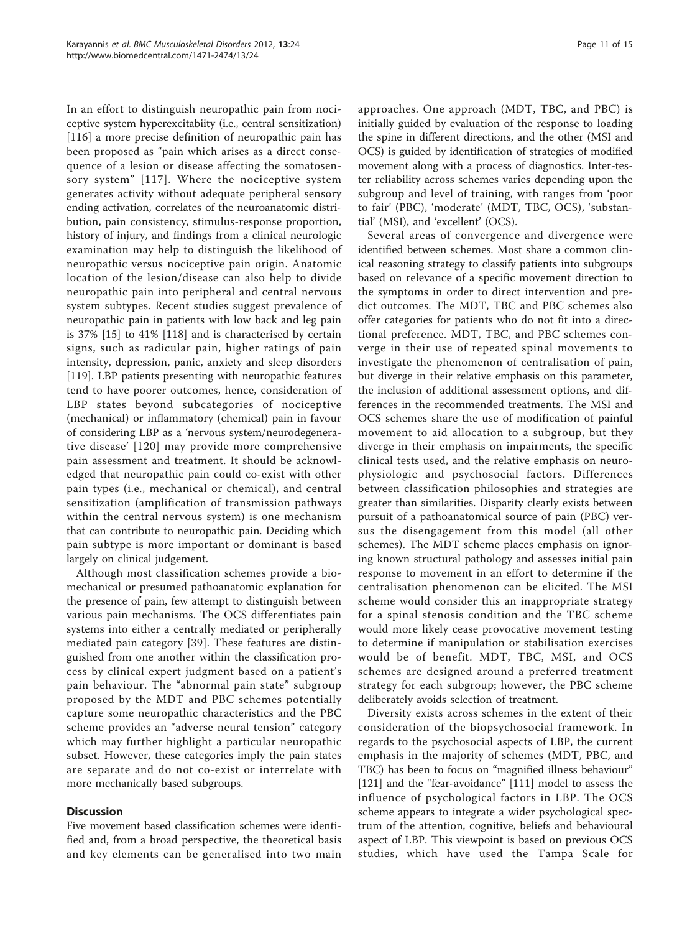In an effort to distinguish neuropathic pain from nociceptive system hyperexcitabiity (i.e., central sensitization) [[116\]](#page-14-0) a more precise definition of neuropathic pain has been proposed as "pain which arises as a direct consequence of a lesion or disease affecting the somatosensory system" [[117](#page-14-0)]. Where the nociceptive system generates activity without adequate peripheral sensory ending activation, correlates of the neuroanatomic distribution, pain consistency, stimulus-response proportion, history of injury, and findings from a clinical neurologic examination may help to distinguish the likelihood of neuropathic versus nociceptive pain origin. Anatomic location of the lesion/disease can also help to divide neuropathic pain into peripheral and central nervous system subtypes. Recent studies suggest prevalence of neuropathic pain in patients with low back and leg pain is 37% [[15\]](#page-12-0) to 41% [[118](#page-14-0)] and is characterised by certain signs, such as radicular pain, higher ratings of pain intensity, depression, panic, anxiety and sleep disorders [[119\]](#page-14-0). LBP patients presenting with neuropathic features tend to have poorer outcomes, hence, consideration of LBP states beyond subcategories of nociceptive (mechanical) or inflammatory (chemical) pain in favour of considering LBP as a 'nervous system/neurodegenerative disease' [[120\]](#page-14-0) may provide more comprehensive pain assessment and treatment. It should be acknowledged that neuropathic pain could co-exist with other pain types (i.e., mechanical or chemical), and central sensitization (amplification of transmission pathways within the central nervous system) is one mechanism that can contribute to neuropathic pain. Deciding which pain subtype is more important or dominant is based largely on clinical judgement.

Although most classification schemes provide a biomechanical or presumed pathoanatomic explanation for the presence of pain, few attempt to distinguish between various pain mechanisms. The OCS differentiates pain systems into either a centrally mediated or peripherally mediated pain category [[39\]](#page-12-0). These features are distinguished from one another within the classification process by clinical expert judgment based on a patient's pain behaviour. The "abnormal pain state" subgroup proposed by the MDT and PBC schemes potentially capture some neuropathic characteristics and the PBC scheme provides an "adverse neural tension" category which may further highlight a particular neuropathic subset. However, these categories imply the pain states are separate and do not co-exist or interrelate with more mechanically based subgroups.

## **Discussion**

Five movement based classification schemes were identified and, from a broad perspective, the theoretical basis and key elements can be generalised into two main approaches. One approach (MDT, TBC, and PBC) is initially guided by evaluation of the response to loading the spine in different directions, and the other (MSI and OCS) is guided by identification of strategies of modified movement along with a process of diagnostics. Inter-tester reliability across schemes varies depending upon the subgroup and level of training, with ranges from 'poor to fair' (PBC), 'moderate' (MDT, TBC, OCS), 'substantial' (MSI), and 'excellent' (OCS).

Several areas of convergence and divergence were identified between schemes. Most share a common clinical reasoning strategy to classify patients into subgroups based on relevance of a specific movement direction to the symptoms in order to direct intervention and predict outcomes. The MDT, TBC and PBC schemes also offer categories for patients who do not fit into a directional preference. MDT, TBC, and PBC schemes converge in their use of repeated spinal movements to investigate the phenomenon of centralisation of pain, but diverge in their relative emphasis on this parameter, the inclusion of additional assessment options, and differences in the recommended treatments. The MSI and OCS schemes share the use of modification of painful movement to aid allocation to a subgroup, but they diverge in their emphasis on impairments, the specific clinical tests used, and the relative emphasis on neurophysiologic and psychosocial factors. Differences between classification philosophies and strategies are greater than similarities. Disparity clearly exists between pursuit of a pathoanatomical source of pain (PBC) versus the disengagement from this model (all other schemes). The MDT scheme places emphasis on ignoring known structural pathology and assesses initial pain response to movement in an effort to determine if the centralisation phenomenon can be elicited. The MSI scheme would consider this an inappropriate strategy for a spinal stenosis condition and the TBC scheme would more likely cease provocative movement testing to determine if manipulation or stabilisation exercises would be of benefit. MDT, TBC, MSI, and OCS schemes are designed around a preferred treatment strategy for each subgroup; however, the PBC scheme deliberately avoids selection of treatment.

Diversity exists across schemes in the extent of their consideration of the biopsychosocial framework. In regards to the psychosocial aspects of LBP, the current emphasis in the majority of schemes (MDT, PBC, and TBC) has been to focus on "magnified illness behaviour" [[121\]](#page-14-0) and the "fear-avoidance" [[111\]](#page-14-0) model to assess the influence of psychological factors in LBP. The OCS scheme appears to integrate a wider psychological spectrum of the attention, cognitive, beliefs and behavioural aspect of LBP. This viewpoint is based on previous OCS studies, which have used the Tampa Scale for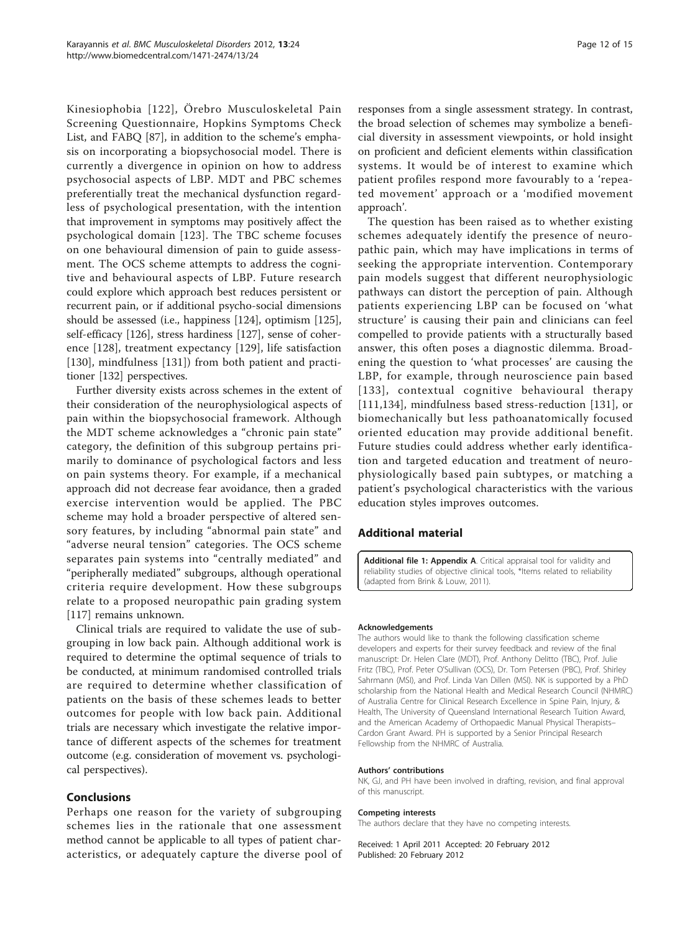<span id="page-11-0"></span>Kinesiophobia [[122](#page-14-0)], Örebro Musculoskeletal Pain Screening Questionnaire, Hopkins Symptoms Check List, and FABQ [[87\]](#page-13-0), in addition to the scheme's emphasis on incorporating a biopsychosocial model. There is currently a divergence in opinion on how to address psychosocial aspects of LBP. MDT and PBC schemes preferentially treat the mechanical dysfunction regardless of psychological presentation, with the intention that improvement in symptoms may positively affect the psychological domain [\[123\]](#page-14-0). The TBC scheme focuses on one behavioural dimension of pain to guide assessment. The OCS scheme attempts to address the cognitive and behavioural aspects of LBP. Future research could explore which approach best reduces persistent or recurrent pain, or if additional psycho-social dimensions should be assessed (i.e., happiness [\[124](#page-14-0)], optimism [[125](#page-14-0)], self-efficacy [\[126](#page-14-0)], stress hardiness [[127](#page-14-0)], sense of coherence [\[128](#page-14-0)], treatment expectancy [[129\]](#page-14-0), life satisfaction [[130\]](#page-14-0), mindfulness [[131\]](#page-14-0)) from both patient and practitioner [\[132\]](#page-14-0) perspectives.

Further diversity exists across schemes in the extent of their consideration of the neurophysiological aspects of pain within the biopsychosocial framework. Although the MDT scheme acknowledges a "chronic pain state" category, the definition of this subgroup pertains primarily to dominance of psychological factors and less on pain systems theory. For example, if a mechanical approach did not decrease fear avoidance, then a graded exercise intervention would be applied. The PBC scheme may hold a broader perspective of altered sensory features, by including "abnormal pain state" and "adverse neural tension" categories. The OCS scheme separates pain systems into "centrally mediated" and "peripherally mediated" subgroups, although operational criteria require development. How these subgroups relate to a proposed neuropathic pain grading system [[117](#page-14-0)] remains unknown.

Clinical trials are required to validate the use of subgrouping in low back pain. Although additional work is required to determine the optimal sequence of trials to be conducted, at minimum randomised controlled trials are required to determine whether classification of patients on the basis of these schemes leads to better outcomes for people with low back pain. Additional trials are necessary which investigate the relative importance of different aspects of the schemes for treatment outcome (e.g. consideration of movement vs. psychological perspectives).

## Conclusions

Perhaps one reason for the variety of subgrouping schemes lies in the rationale that one assessment method cannot be applicable to all types of patient characteristics, or adequately capture the diverse pool of responses from a single assessment strategy. In contrast, the broad selection of schemes may symbolize a beneficial diversity in assessment viewpoints, or hold insight on proficient and deficient elements within classification systems. It would be of interest to examine which patient profiles respond more favourably to a 'repeated movement' approach or a 'modified movement approach'.

The question has been raised as to whether existing schemes adequately identify the presence of neuropathic pain, which may have implications in terms of seeking the appropriate intervention. Contemporary pain models suggest that different neurophysiologic pathways can distort the perception of pain. Although patients experiencing LBP can be focused on 'what structure' is causing their pain and clinicians can feel compelled to provide patients with a structurally based answer, this often poses a diagnostic dilemma. Broadening the question to 'what processes' are causing the LBP, for example, through neuroscience pain based [[133\]](#page-14-0), contextual cognitive behavioural therapy [[111,134\]](#page-14-0), mindfulness based stress-reduction [\[131\]](#page-14-0), or biomechanically but less pathoanatomically focused oriented education may provide additional benefit. Future studies could address whether early identification and targeted education and treatment of neurophysiologically based pain subtypes, or matching a patient's psychological characteristics with the various education styles improves outcomes.

## Additional material

[Additional file 1: A](http://www.biomedcentral.com/content/supplementary/1471-2474-13-24-S1.DOC)ppendix A. Critical appraisal tool for validity and reliability studies of objective clinical tools, \*Items related to reliability (adapted from Brink & Louw, 2011).

#### Acknowledgements

The authors would like to thank the following classification scheme developers and experts for their survey feedback and review of the final manuscript: Dr. Helen Clare (MDT), Prof. Anthony Delitto (TBC), Prof. Julie Fritz (TBC), Prof. Peter O'Sullivan (OCS), Dr. Tom Petersen (PBC), Prof. Shirley Sahrmann (MSI), and Prof. Linda Van Dillen (MSI). NK is supported by a PhD scholarship from the National Health and Medical Research Council (NHMRC) of Australia Centre for Clinical Research Excellence in Spine Pain, Injury, & Health, The University of Queensland International Research Tuition Award, and the American Academy of Orthopaedic Manual Physical Therapists– Cardon Grant Award. PH is supported by a Senior Principal Research Fellowship from the NHMRC of Australia.

#### Authors' contributions

NK, GJ, and PH have been involved in drafting, revision, and final approval of this manuscript.

#### Competing interests

The authors declare that they have no competing interests.

Received: 1 April 2011 Accepted: 20 February 2012 Published: 20 February 2012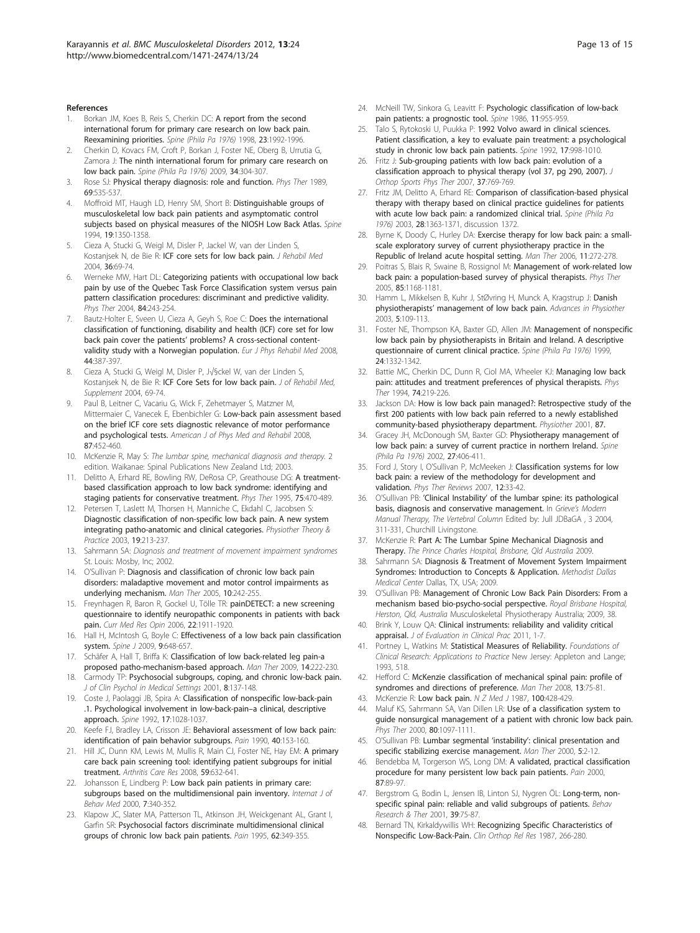#### <span id="page-12-0"></span>References

- Borkan JM, Koes B, Reis S, Cherkin DC: A report from the second international forum for primary care research on low back pain. Reexamining priorities. Spine (Phila Pa 1976) 1998, 23:1992-1996.
- 2. Cherkin D, Kovacs FM, Croft P, Borkan J, Foster NE, Oberg B, Urrutia G, Zamora J: The ninth international forum for primary care research on low back pain. Spine (Phila Pa 1976) 2009, 34:304-307.
- 3. Rose SJ: [Physical therapy diagnosis: role and function.](http://www.ncbi.nlm.nih.gov/pubmed/2740444?dopt=Abstract) Phys Ther 1989, 69:535-537.
- 4. Moffroid MT, Haugh LD, Henry SM, Short B: [Distinguishable groups of](http://www.ncbi.nlm.nih.gov/pubmed/8066515?dopt=Abstract) [musculoskeletal low back pain patients and asymptomatic control](http://www.ncbi.nlm.nih.gov/pubmed/8066515?dopt=Abstract) [subjects based on physical measures of the NIOSH Low Back Atlas.](http://www.ncbi.nlm.nih.gov/pubmed/8066515?dopt=Abstract) Spine 1994, 19:1350-1358.
- 5. Cieza A, Stucki G, Weigl M, Disler P, Jackel W, van der Linden S, Kostanjsek N, de Bie R: ICF core sets for low back pain. J Rehabil Med 2004, 36:69-74.
- 6. Werneke MW, Hart DL: [Categorizing patients with occupational low back](http://www.ncbi.nlm.nih.gov/pubmed/14984296?dopt=Abstract) [pain by use of the Quebec Task Force Classification system versus pain](http://www.ncbi.nlm.nih.gov/pubmed/14984296?dopt=Abstract) [pattern classification procedures: discriminant and predictive validity.](http://www.ncbi.nlm.nih.gov/pubmed/14984296?dopt=Abstract) Phys Ther 2004, 84:243-254.
- 7. Bautz-Holter E, Sveen U, Cieza A, Geyh S, Roe C: [Does the international](http://www.ncbi.nlm.nih.gov/pubmed/19002088?dopt=Abstract) [classification of functioning, disability and health \(ICF\) core set for low](http://www.ncbi.nlm.nih.gov/pubmed/19002088?dopt=Abstract) back pain cover the patients' [problems? A cross-sectional content](http://www.ncbi.nlm.nih.gov/pubmed/19002088?dopt=Abstract)[validity study with a Norwegian population.](http://www.ncbi.nlm.nih.gov/pubmed/19002088?dopt=Abstract) Eur J Phys Rehabil Med 2008, 44:387-397.
- 8. Cieza A, Stucki G, Weigl M, Disler P, J√§ckel W, van der Linden S, Kostanjsek N, de Bie R: ICF Core Sets for low back pain. J of Rehabil Med, Supplement 2004, 69-74.
- Paul B, Leitner C, Vacariu G, Wick F, Zehetmayer S, Matzner M, Mittermaier C, Vanecek E, Ebenbichler G: Low-back pain assessment based on the brief ICF core sets diagnostic relevance of motor performance and psychological tests. American J of Phys Med and Rehabil 2008, 87:452-460.
- 10. McKenzie R, May S: The lumbar spine, mechanical diagnosis and therapy. 2 edition. Waikanae: Spinal Publications New Zealand Ltd; 2003.
- 11. Delitto A, Erhard RE, Bowling RW, DeRosa CP, Greathouse DG: [A treatment](http://www.ncbi.nlm.nih.gov/pubmed/7770494?dopt=Abstract)[based classification approach to low back syndrome: identifying and](http://www.ncbi.nlm.nih.gov/pubmed/7770494?dopt=Abstract) [staging patients for conservative treatment.](http://www.ncbi.nlm.nih.gov/pubmed/7770494?dopt=Abstract) Phys Ther 1995, 75:470-489.
- 12. Petersen T, Laslett M, Thorsen H, Manniche C, Ekdahl C, Jacobsen S: [Diagnostic classification of non-specific low back pain. A new system](http://www.ncbi.nlm.nih.gov/pubmed/22234575?dopt=Abstract) [integrating patho-anatomic and clinical categories.](http://www.ncbi.nlm.nih.gov/pubmed/22234575?dopt=Abstract) Physiother Theory & Practice 2003, 19:213-237.
- 13. Sahrmann SA: Diagnosis and treatment of movement impairment syndromes St. Louis: Mosby, Inc; 2002.
- 14. O'Sullivan P: [Diagnosis and classification of chronic low back pain](http://www.ncbi.nlm.nih.gov/pubmed/16154380?dopt=Abstract) [disorders: maladaptive movement and motor control impairments as](http://www.ncbi.nlm.nih.gov/pubmed/16154380?dopt=Abstract) [underlying mechanism.](http://www.ncbi.nlm.nih.gov/pubmed/16154380?dopt=Abstract) Man Ther 2005, 10:242-255.
- 15. Freynhagen R, Baron R, Gockel U, Tölle TR: painDETECT: [a new screening](http://www.ncbi.nlm.nih.gov/pubmed/17022849?dopt=Abstract) [questionnaire to identify neuropathic components in patients with back](http://www.ncbi.nlm.nih.gov/pubmed/17022849?dopt=Abstract) [pain.](http://www.ncbi.nlm.nih.gov/pubmed/17022849?dopt=Abstract) Curr Med Res Opin 2006, 22:1911-1920.
- 16. Hall H, McIntosh G, Boyle C: [Effectiveness of a low back pain classification](http://www.ncbi.nlm.nih.gov/pubmed/19501026?dopt=Abstract) [system.](http://www.ncbi.nlm.nih.gov/pubmed/19501026?dopt=Abstract) Spine J 2009, 9:648-657.
- 17. Schäfer A, Hall T, Briffa K: [Classification of low back-related leg pain-a](http://www.ncbi.nlm.nih.gov/pubmed/18165145?dopt=Abstract) [proposed patho-mechanism-based approach.](http://www.ncbi.nlm.nih.gov/pubmed/18165145?dopt=Abstract) Man Ther 2009, 14:222-230.
- 18. Carmody TP: Psychosocial subgroups, coping, and chronic low-back pain. J of Clin Psychol in Medical Settings 2001, 8:137-148.
- 19. Coste J, Paolaggi JB, Spira A: [Classification of nonspecific low-back-pain](http://www.ncbi.nlm.nih.gov/pubmed/1411753?dopt=Abstract) [.1. Psychological involvement in low-back-pain](http://www.ncbi.nlm.nih.gov/pubmed/1411753?dopt=Abstract)–a clinical, descriptive [approach.](http://www.ncbi.nlm.nih.gov/pubmed/1411753?dopt=Abstract) Spine 1992, 17:1028-1037.
- 20. Keefe FJ, Bradley LA, Crisson JE: [Behavioral assessment of low back pain:](http://www.ncbi.nlm.nih.gov/pubmed/2137905?dopt=Abstract) [identification of pain behavior subgroups.](http://www.ncbi.nlm.nih.gov/pubmed/2137905?dopt=Abstract) Pain 1990, 40:153-160.
- 21. Hill JC, Dunn KM, Lewis M, Mullis R, Main CJ, Foster NE, Hay EM: A primary care back pain screening tool: identifying patient subgroups for initial treatment. Arthritis Care Res 2008, 59:632-641.
- 22. Johansson E, Lindberg P: Low back pain patients in primary care: subgroups based on the multidimensional pain inventory. Internat J of Behav Med 2000, 7:340-352.
- 23. Klapow JC, Slater MA, Patterson TL, Atkinson JH, Weickgenant AL, Grant I, Garfin SR: [Psychosocial factors discriminate multidimensional clinical](http://www.ncbi.nlm.nih.gov/pubmed/8657435?dopt=Abstract) [groups of chronic low back pain patients.](http://www.ncbi.nlm.nih.gov/pubmed/8657435?dopt=Abstract) Pain 1995, 62:349-355.
- 24. McNeill TW, Sinkora G, Leavitt F: [Psychologic classification of low-back](http://www.ncbi.nlm.nih.gov/pubmed/2950602?dopt=Abstract) [pain patients: a prognostic tool.](http://www.ncbi.nlm.nih.gov/pubmed/2950602?dopt=Abstract) Spine 1986, 11:955-959.
- 25. Talo S, Rytokoski U, Puukka P: [1992 Volvo award in clinical sciences.](http://www.ncbi.nlm.nih.gov/pubmed/1384150?dopt=Abstract) [Patient classification, a key to evaluate pain treatment: a psychological](http://www.ncbi.nlm.nih.gov/pubmed/1384150?dopt=Abstract) [study in chronic low back pain patients.](http://www.ncbi.nlm.nih.gov/pubmed/1384150?dopt=Abstract) Spine 1992, 17:998-1010.
- 26. Fritz J: Sub-grouping patients with low back pain: evolution of a classification approach to physical therapy (vol 37, pg 290, 2007). J Orthop Sports Phys Ther 2007, 37:769-769.
- 27. Fritz JM, Delitto A, Erhard RE: Comparison of classification-based physical therapy with therapy based on clinical practice guidelines for patients with acute low back pain: a randomized clinical trial. Spine (Phila Pa 1976) 2003, 28:1363-1371, discussion 1372.
- 28. Byrne K, Doody C, Hurley DA: [Exercise therapy for low back pain: a small](http://www.ncbi.nlm.nih.gov/pubmed/16084749?dopt=Abstract)[scale exploratory survey of current physiotherapy practice in the](http://www.ncbi.nlm.nih.gov/pubmed/16084749?dopt=Abstract) [Republic of Ireland acute hospital setting.](http://www.ncbi.nlm.nih.gov/pubmed/16084749?dopt=Abstract) Man Ther 2006, 11:272-278.
- 29. Poitras S, Blais R, Swaine B, Rossignol M: [Management of work-related low](http://www.ncbi.nlm.nih.gov/pubmed/16253046?dopt=Abstract) [back pain: a population-based survey of physical therapists.](http://www.ncbi.nlm.nih.gov/pubmed/16253046?dopt=Abstract) Phys Ther 2005, 85:1168-1181.
- 30. Hamm L, Mikkelsen B, Kuhr J, StØvring H, Munck A, Kragstrup J: Danish physiotherapists' management of low back pain. Advances in Physiother 2003, 5:109-113.
- 31. Foster NE, Thompson KA, Baxter GD, Allen JM: Management of nonspecific low back pain by physiotherapists in Britain and Ireland. A descriptive questionnaire of current clinical practice. Spine (Phila Pa 1976) 1999, 24:1332-1342.
- 32. Battie MC, Cherkin DC, Dunn R, Ciol MA, Wheeler KJ: [Managing low back](http://www.ncbi.nlm.nih.gov/pubmed/8115455?dopt=Abstract) [pain: attitudes and treatment preferences of physical therapists.](http://www.ncbi.nlm.nih.gov/pubmed/8115455?dopt=Abstract) Phys Ther 1994, **74**:219-226.
- 33. Jackson DA: How is low back pain managed?: Retrospective study of the first 200 patients with low back pain referred to a newly established community-based physiotherapy department. Physiother 2001, 87.
- Gracey JH, McDonough SM, Baxter GD: Physiotherapy management of low back pain: a survey of current practice in northern Ireland. Spine (Phila Pa 1976) 2002, 27:406-411.
- 35. Ford J, Story I, O'Sullivan P, McMeeken J: Classification systems for low back pain: a review of the methodology for development and validation. Phys Ther Reviews 2007, 12:33-42.
- 36. O'Sullivan PB: 'Clinical Instability' [of the lumbar spine: its pathological](http://www.ncbi.nlm.nih.gov/pubmed/22356181?dopt=Abstract) [basis, diagnosis and conservative management.](http://www.ncbi.nlm.nih.gov/pubmed/22356181?dopt=Abstract) In Grieve's Modern Manual Therapy, The Vertebral Column Edited by: Jull JDBaGA , 3 2004, 311-331, Churchill Livingstone.
- 37. McKenzie R: Part A: The Lumbar Spine Mechanical Diagnosis and Therapy. The Prince Charles Hospital, Brisbane, Qld Australia 2009.
- 38. Sahrmann SA: Diagnosis & Treatment of Movement System Impairment Syndromes: Introduction to Concepts & Application. Methodist Dallas Medical Center Dallas, TX, USA; 2009.
- 39. O'Sullivan PB: Management of Chronic Low Back Pain Disorders: From a mechanism based bio-psycho-social perspective. Royal Brisbane Hospital, Herston, Qld, Australia Musculoskeletal Physiotherapy Australia; 2009, 38.
- 40. Brink Y, Louw QA: Clinical instruments: reliability and validity critical appraisal. J of Evaluation in Clinical Prac 2011, 1-7.
- 41. Portney L, Watkins M: Statistical Measures of Reliability. Foundations of Clinical Research: Applications to Practice New Jersey: Appleton and Lange; 1993, 518.
- 42. Hefford C: [McKenzie classification of mechanical spinal pain: profile of](http://www.ncbi.nlm.nih.gov/pubmed/17188547?dopt=Abstract) [syndromes and directions of preference.](http://www.ncbi.nlm.nih.gov/pubmed/17188547?dopt=Abstract) Man Ther 2008, 13:75-81.
- 43. McKenzie R: [Low back pain.](http://www.ncbi.nlm.nih.gov/pubmed/3452073?dopt=Abstract) N Z Med J 1987, 100:428-429.
- Maluf KS, Sahrmann SA, Van Dillen LR: [Use of a classification system to](http://www.ncbi.nlm.nih.gov/pubmed/11046197?dopt=Abstract) [guide nonsurgical management of a patient with chronic low back pain.](http://www.ncbi.nlm.nih.gov/pubmed/11046197?dopt=Abstract) Phys Ther 2000, 80:1097-1111.
- 45. O'Sullivan PB: Lumbar segmental 'instability'[: clinical presentation and](http://www.ncbi.nlm.nih.gov/pubmed/10688954?dopt=Abstract) [specific stabilizing exercise management.](http://www.ncbi.nlm.nih.gov/pubmed/10688954?dopt=Abstract) Man Ther 2000, 5:2-12.
- Bendebba M, Torgerson WS, Long DM: [A validated, practical classification](http://www.ncbi.nlm.nih.gov/pubmed/10863049?dopt=Abstract) [procedure for many persistent low back pain patients.](http://www.ncbi.nlm.nih.gov/pubmed/10863049?dopt=Abstract) Pain 2000, 87:89-97.
- 47. Bergstrom G, Bodin L, Jensen IB, Linton SJ, Nygren ÖL: [Long-term, non](http://www.ncbi.nlm.nih.gov/pubmed/22183204?dopt=Abstract)[specific spinal pain: reliable and valid subgroups of patients.](http://www.ncbi.nlm.nih.gov/pubmed/22183204?dopt=Abstract) Behav Research & Ther 2001, 39:75-87.
- 48. Bernard TN, Kirkaldywillis WH: Recognizing Specific Characteristics of Nonspecific Low-Back-Pain. Clin Orthop Rel Res 1987, 266-280.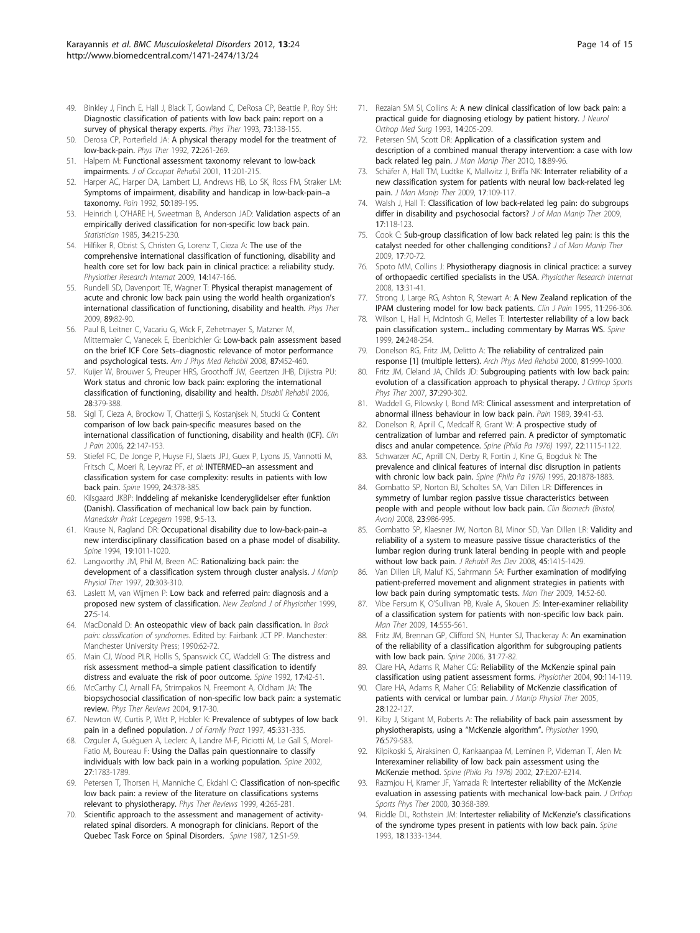- <span id="page-13-0"></span>49. Binkley J, Finch E, Hall J, Black T, Gowland C, DeRosa CP, Beattie P, Roy SH: [Diagnostic classification of patients with low back pain: report on a](http://www.ncbi.nlm.nih.gov/pubmed/8438002?dopt=Abstract) [survey of physical therapy experts.](http://www.ncbi.nlm.nih.gov/pubmed/8438002?dopt=Abstract) Phys Ther 1993, 73:138-155.
- 50. Derosa CP, Porterfield JA: [A physical therapy model for the treatment of](http://www.ncbi.nlm.nih.gov/pubmed/1533940?dopt=Abstract) [low-back-pain.](http://www.ncbi.nlm.nih.gov/pubmed/1533940?dopt=Abstract) Phys Ther 1992, 72:261-269.
- 51. Halpern M: Functional assessment taxonomy relevant to low-back impairments. J of Occupat Rehabil 2001, 11:201-215.
- 52. Harper AC, Harper DA, Lambert LJ, Andrews HB, Lo SK, Ross FM, Straker LM: [Symptoms of impairment, disability and handicap in low-back-pain](http://www.ncbi.nlm.nih.gov/pubmed/1408315?dopt=Abstract)–a [taxonomy.](http://www.ncbi.nlm.nih.gov/pubmed/1408315?dopt=Abstract) Pain 1992, 50:189-195.
- 53. Heinrich I, O'HARE H, Sweetman B, Anderson JAD: Validation aspects of an empirically derived classification for non-specific low back pain. Statistician 1985, 34:215-230.
- 54. Hilfiker R, Obrist S, Christen G, Lorenz T, Cieza A: The use of the comprehensive international classification of functioning, disability and health core set for low back pain in clinical practice: a reliability study. Physiother Research Internat 2009, 14:147-166.
- 55. Rundell SD, Davenport TE, Wagner T: [Physical therapist management of](http://www.ncbi.nlm.nih.gov/pubmed/19008329?dopt=Abstract) [acute and chronic low back pain using the world health organization](http://www.ncbi.nlm.nih.gov/pubmed/19008329?dopt=Abstract)'s [international classification of functioning, disability and health.](http://www.ncbi.nlm.nih.gov/pubmed/19008329?dopt=Abstract) Phys Ther 2009, 89:82-90.
- 56. Paul B, Leitner C, Vacariu G, Wick F, Zehetmayer S, Matzner M, Mittermaier C, Vanecek E, Ebenbichler G: [Low-back pain assessment based](http://www.ncbi.nlm.nih.gov/pubmed/18496247?dopt=Abstract) on the brief ICF Core Sets–[diagnostic relevance of motor performance](http://www.ncbi.nlm.nih.gov/pubmed/18496247?dopt=Abstract) [and psychological tests.](http://www.ncbi.nlm.nih.gov/pubmed/18496247?dopt=Abstract) Am J Phys Med Rehabil 2008, 87:452-460.
- 57. Kuijer W, Brouwer S, Preuper HRS, Groothoff JW, Geertzen JHB, Dijkstra PU: [Work status and chronic low back pain: exploring the international](http://www.ncbi.nlm.nih.gov/pubmed/16492634?dopt=Abstract) [classification of functioning, disability and health.](http://www.ncbi.nlm.nih.gov/pubmed/16492634?dopt=Abstract) Disabil Rehabil 2006, 28:379-388.
- 58. Sigl T, Cieza A, Brockow T, Chatterji S, Kostanjsek N, Stucki G: [Content](http://www.ncbi.nlm.nih.gov/pubmed/16428948?dopt=Abstract) [comparison of low back pain-specific measures based on the](http://www.ncbi.nlm.nih.gov/pubmed/16428948?dopt=Abstract) [international classification of functioning, disability and health \(ICF\).](http://www.ncbi.nlm.nih.gov/pubmed/16428948?dopt=Abstract) Clin J Pain 2006, 22:147-153.
- 59. Stiefel FC, De Jonge P, Huyse FJ, Slaets JPJ, Guex P, Lyons JS, Vannotti M, Fritsch C, Moeri R, Leyvraz PF, et al: INTERMED-[an assessment and](http://www.ncbi.nlm.nih.gov/pubmed/10065523?dopt=Abstract) [classification system for case complexity: results in patients with low](http://www.ncbi.nlm.nih.gov/pubmed/10065523?dopt=Abstract) [back pain.](http://www.ncbi.nlm.nih.gov/pubmed/10065523?dopt=Abstract) Spine 1999, 24:378-385.
- 60. Kilsgaard JKBP: Inddeling af mekaniske lcenderyglidelser efter funktion (Danish). Classification of mechanical low back pain by function. Manedsskr Prakt Lcegegern 1998, 9:5-13.
- 61. Krause N, Ragland DR: [Occupational disability due to low-back-pain](http://www.ncbi.nlm.nih.gov/pubmed/8029734?dopt=Abstract)–a new [interdisciplinary classification based on a phase model of disability.](http://www.ncbi.nlm.nih.gov/pubmed/8029734?dopt=Abstract) Spine 1994, 19:1011-1020.
- 62. Langworthy JM, Phil M, Breen AC: Rationalizing back pain: the development of a classification system through cluster analysis. J Manip Physiol Ther 1997, 20:303-310.
- 63. Laslett M, van Wijmen P: Low back and referred pain: diagnosis and a proposed new system of classification. New Zealand J of Physiother 1999, 27:5-14.
- 64. MacDonald D: An osteopathic view of back pain classification. In Back pain: classification of syndromes. Edited by: Fairbank JCT PP. Manchester: Manchester University Press; 1990:62-72.
- 65. Main CJ, Wood PLR, Hollis S, Spanswick CC, Waddell G: [The distress and](http://www.ncbi.nlm.nih.gov/pubmed/1531554?dopt=Abstract) risk assessment method–[a simple patient classification to identify](http://www.ncbi.nlm.nih.gov/pubmed/1531554?dopt=Abstract) [distress and evaluate the risk of poor outcome.](http://www.ncbi.nlm.nih.gov/pubmed/1531554?dopt=Abstract) Spine 1992, 17:42-51.
- 66. McCarthy CJ, Arnall FA, Strimpakos N, Freemont A, Oldham JA: The biopsychosocial classification of non-specific low back pain: a systematic review. Phys Ther Reviews 2004, 9:17-30.
- 67. Newton W, Curtis P, Witt P, Hobler K: Prevalence of subtypes of low back pain in a defined population. J of Family Pract 1997, 45:331-335.
- 68. Ozguler A, Guéguen A, Leclerc A, Landre M-F, Piciotti M, Le Gall S, Morel-Fatio M, Boureau F: [Using the Dallas pain questionnaire to classify](http://www.ncbi.nlm.nih.gov/pubmed/12195072?dopt=Abstract) [individuals with low back pain in a working population.](http://www.ncbi.nlm.nih.gov/pubmed/12195072?dopt=Abstract) Spine 2002, 27:1783-1789.
- 69. Petersen T, Thorsen H, Manniche C, Ekdahl C: Classification of non-specific low back pain: a review of the literature on classifications systems relevant to physiotherapy. Phys Ther Reviews 1999, 4:265-281.
- 70. Scientific approach to the assessment and management of activityrelated spinal disorders. A monograph for clinicians. Report of the Quebec Task Force on Spinal Disorders. Spine 1987, 12:S1-59.
- 71. Rezaian SM SI, Collins A: A new clinical classification of low back pain: a practical guide for diagnosing etiology by patient history. J Neurol Orthop Med Surg 1993, 14:205-209.
- 72. Petersen SM, Scott DR: [Application of a classification system and](http://www.ncbi.nlm.nih.gov/pubmed/21655391?dopt=Abstract) [description of a combined manual therapy intervention: a case with low](http://www.ncbi.nlm.nih.gov/pubmed/21655391?dopt=Abstract) [back related leg pain.](http://www.ncbi.nlm.nih.gov/pubmed/21655391?dopt=Abstract) J Man Manip Ther 2010, 18:89-96.
- 73. Schäfer A, Hall TM, Ludtke K, Mallwitz J, Briffa NK: [Interrater reliability of a](http://www.ncbi.nlm.nih.gov/pubmed/20046553?dopt=Abstract) [new classification system for patients with neural low back-related leg](http://www.ncbi.nlm.nih.gov/pubmed/20046553?dopt=Abstract) [pain.](http://www.ncbi.nlm.nih.gov/pubmed/20046553?dopt=Abstract) J Man Manip Ther 2009, 17:109-117.
- 74. Walsh J, Hall T: Classification of low back-related leg pain: do subgroups differ in disability and psychosocial factors? J of Man Manip Ther 2009, 17:118-123.
- 75. Cook C: Sub-group classification of low back related leg pain: is this the catalyst needed for other challenging conditions? J of Man Manip Ther 2009, 17:70-72.
- 76. Spoto MM, Collins J: Physiotherapy diagnosis in clinical practice: a survey of orthopaedic certified specialists in the USA. Physiother Research Internat 2008, 13:31-41.
- 77. Strong J, Large RG, Ashton R, Stewart A: [A New Zealand replication of the](http://www.ncbi.nlm.nih.gov/pubmed/8788577?dopt=Abstract) [IPAM clustering model for low back patients.](http://www.ncbi.nlm.nih.gov/pubmed/8788577?dopt=Abstract) Clin J Pain 1995, 11:296-306.
- 78. Wilson L, Hall H, McIntosh G, Melles T: [Intertester reliability of a low back](http://www.ncbi.nlm.nih.gov/pubmed/10025019?dopt=Abstract) [pain classification system... including commentary by Marras WS.](http://www.ncbi.nlm.nih.gov/pubmed/10025019?dopt=Abstract) Spine 1999, 24:248-254.
- 79. Donelson RG, Fritz JM, Delitto A: [The reliability of centralized pain](http://www.ncbi.nlm.nih.gov/pubmed/10896020?dopt=Abstract) [response \[1\] \(multiple letters\).](http://www.ncbi.nlm.nih.gov/pubmed/10896020?dopt=Abstract) Arch Phys Med Rehabil 2000, 81:999-1000.
- 80. Fritz JM, Cleland JA, Childs JD: [Subgrouping patients with low back pain:](http://www.ncbi.nlm.nih.gov/pubmed/17612355?dopt=Abstract) [evolution of a classification approach to physical therapy.](http://www.ncbi.nlm.nih.gov/pubmed/17612355?dopt=Abstract) J Orthop Sports Phys Ther 2007, 37:290-302.
- 81. Waddell G, Pilowsky I, Bond MR: [Clinical assessment and interpretation of](http://www.ncbi.nlm.nih.gov/pubmed/2530486?dopt=Abstract) [abnormal illness behaviour in low back pain.](http://www.ncbi.nlm.nih.gov/pubmed/2530486?dopt=Abstract) Pain 1989, 39:41-53.
- 82. Donelson R, Aprill C, Medcalf R, Grant W: A prospective study of centralization of lumbar and referred pain. A predictor of symptomatic discs and anular competence. Spine (Phila Pa 1976) 1997, 22:1115-1122.
- 83. Schwarzer AC, Aprill CN, Derby R, Fortin J, Kine G, Bogduk N: The prevalence and clinical features of internal disc disruption in patients with chronic low back pain. Spine (Phila Pa 1976) 1995, 20:1878-1883.
- 84. Gombatto SP, Norton BJ, Scholtes SA, Van Dillen LR: Differences in symmetry of lumbar region passive tissue characteristics between people with and people without low back pain. Clin Biomech (Bristol, Avon) 2008, 23:986-995.
- 85. Gombatto SP, Klaesner JW, Norton BJ, Minor SD, Van Dillen LR: [Validity and](http://www.ncbi.nlm.nih.gov/pubmed/19319764?dopt=Abstract) [reliability of a system to measure passive tissue characteristics of the](http://www.ncbi.nlm.nih.gov/pubmed/19319764?dopt=Abstract) [lumbar region during trunk lateral bending in people with and people](http://www.ncbi.nlm.nih.gov/pubmed/19319764?dopt=Abstract) [without low back pain.](http://www.ncbi.nlm.nih.gov/pubmed/19319764?dopt=Abstract) J Rehabil Res Dev 2008, 45:1415-1429.
- 86. Van Dillen LR, Maluf KS, Sahrmann SA: [Further examination of modifying](http://www.ncbi.nlm.nih.gov/pubmed/18032090?dopt=Abstract) [patient-preferred movement and alignment strategies in patients with](http://www.ncbi.nlm.nih.gov/pubmed/18032090?dopt=Abstract) [low back pain during symptomatic tests.](http://www.ncbi.nlm.nih.gov/pubmed/18032090?dopt=Abstract) Man Ther 2009, 14:52-60.
- 87. Vibe Fersum K, O'Sullivan PB, Kvale A, Skouen JS: [Inter-examiner reliability](http://www.ncbi.nlm.nih.gov/pubmed/18838331?dopt=Abstract) [of a classification system for patients with non-specific low back pain.](http://www.ncbi.nlm.nih.gov/pubmed/18838331?dopt=Abstract) Man Ther 2009, 14:555-561.
- 88. Fritz JM, Brennan GP, Clifford SN, Hunter SJ, Thackeray A: [An examination](http://www.ncbi.nlm.nih.gov/pubmed/16395181?dopt=Abstract) of [the reliability of a classification algorithm for subgrouping patients](http://www.ncbi.nlm.nih.gov/pubmed/16395181?dopt=Abstract) [with low back pain.](http://www.ncbi.nlm.nih.gov/pubmed/16395181?dopt=Abstract) Spine 2006, 31:77-82.
- 89. Clare HA, Adams R, Maher CG: Reliability of the McKenzie spinal pain classification using patient assessment forms. Physiother 2004, 90:114-119.
- 90. Clare HA, Adams R, Maher CG: Reliability of McKenzie classification of patients with cervical or lumbar pain. J Manip Physiol Ther 2005, 28:122-127.
- 91. Kilby J, Stigant M, Roberts A: The reliability of back pain assessment by physiotherapists, using a "McKenzie algorithm". Physiother 1990, 76:579-583.
- 92. Kilpikoski S, Airaksinen O, Kankaanpaa M, Leminen P, Videman T, Alen M: Interexaminer reliability of low back pain assessment using the McKenzie method. Spine (Phila Pa 1976) 2002, 27:E207-E214.
- 93. Razmjou H, Kramer JF, Yamada R: [Intertester reliability of the McKenzie](http://www.ncbi.nlm.nih.gov/pubmed/10907894?dopt=Abstract) [evaluation in assessing patients with mechanical low-back pain.](http://www.ncbi.nlm.nih.gov/pubmed/10907894?dopt=Abstract) J Orthop Sports Phys Ther 2000, 30:368-389.
- 94. Riddle DL, Rothstein JM: [Intertester reliability of McKenzie](http://www.ncbi.nlm.nih.gov/pubmed/8093123?dopt=Abstract)'s classifications [of the syndrome types present in patients with low back pain.](http://www.ncbi.nlm.nih.gov/pubmed/8093123?dopt=Abstract) Spine 1993, 18:1333-1344.